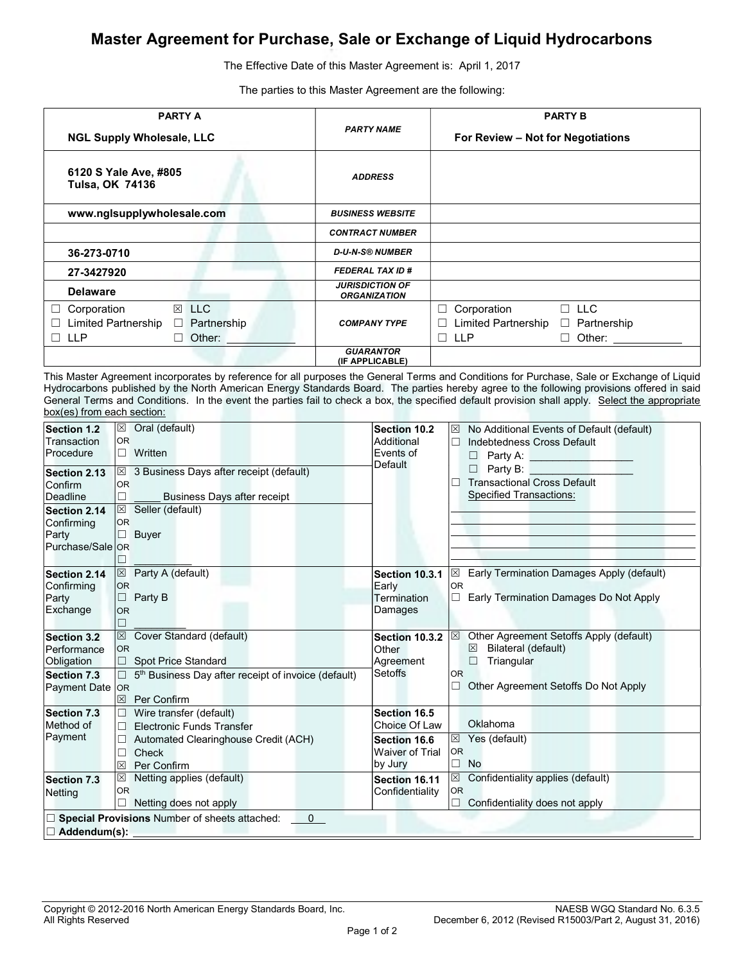## Master Agreement for Purchase, Sale or Exchange of Liquid Hydrocarbons

The Effective Date of this Master Agreement is: April 1, 2017

The parties to this Master Agreement are the following:

| <b>PARTY A</b>                                                                                                               | <b>PARTY NAME</b>                             | <b>PARTY B</b>                                                                                                                      |
|------------------------------------------------------------------------------------------------------------------------------|-----------------------------------------------|-------------------------------------------------------------------------------------------------------------------------------------|
| <b>NGL Supply Wholesale, LLC</b>                                                                                             |                                               | For Review - Not for Negotiations                                                                                                   |
| 6120 S Yale Ave, #805<br><b>Tulsa, OK 74136</b>                                                                              | <b>ADDRESS</b>                                |                                                                                                                                     |
| www.nglsupplywholesale.com                                                                                                   | <b>BUSINESS WEBSITE</b>                       |                                                                                                                                     |
|                                                                                                                              | <b>CONTRACT NUMBER</b>                        |                                                                                                                                     |
| 36-273-0710                                                                                                                  | <b>D-U-N-S® NUMBER</b>                        |                                                                                                                                     |
| 27-3427920                                                                                                                   | <b>FEDERAL TAX ID #</b>                       |                                                                                                                                     |
| <b>Delaware</b>                                                                                                              | <b>JURISDICTION OF</b><br><b>ORGANIZATION</b> |                                                                                                                                     |
| $\boxtimes$ LLC<br>Corporation<br>$\Box$<br><b>Limited Partnership</b><br>Partnership<br>□<br>Other:<br><b>LLP</b><br>□<br>H | <b>COMPANY TYPE</b>                           | $\Box$ LLC<br>Corporation<br>$\Box$<br><b>Limited Partnership</b><br>Partnership<br>$\Box$<br>□<br>Other:<br>П.<br><b>LLP</b><br>П. |
|                                                                                                                              | <b>GUARANTOR</b><br>(IF APPLICABLE)           |                                                                                                                                     |

This Master Agreement incorporates by reference for all purposes the General Terms and Conditions for Purchase, Sale or Exchange of Liquid Hydrocarbons published by the North American Energy Standards Board. The parties hereby agree to the following provisions offered in said General Terms and Conditions. In the event the parties fail to check a box, the specified default provision shall apply. Select the appropriate box(es) from each section:

| <b>Section 1.2</b><br>Transaction<br>Procedure<br>Section 2.13<br>Confirm<br>Deadline<br>Section 2.14<br>Confirming<br>Party<br>Purchase/Sale OR | $\boxtimes$ Oral (default)<br><b>OR</b><br>$\Box$ Written<br>3 Business Days after receipt (default)<br>⊠<br><b>OR</b><br><b>Business Days after receipt</b><br>$\Box$<br>Seller (default)<br>$\boxtimes$<br>lor<br>$\Box$<br><b>Buyer</b> | <b>Section 10.2</b><br>Additional<br>Events of<br>Default                          | No Additional Events of Default (default)<br>IX<br>Indebtedness Cross Default<br>$\Box$ Party A: $\Box$<br>Party B:<br><b>Transactional Cross Default</b><br><b>Specified Transactions:</b> |
|--------------------------------------------------------------------------------------------------------------------------------------------------|--------------------------------------------------------------------------------------------------------------------------------------------------------------------------------------------------------------------------------------------|------------------------------------------------------------------------------------|---------------------------------------------------------------------------------------------------------------------------------------------------------------------------------------------|
| Section 2.14<br>Confirming<br>Party<br>Exchange                                                                                                  | $\boxtimes$ Party A (default)<br><b>OR</b><br>$\Box$<br>Party B<br><b>OR</b>                                                                                                                                                               | <b>Section 10.3.1</b><br>Early<br>Termination<br>Damages                           | $\boxtimes$ Early Termination Damages Apply (default)<br>0R<br>□ Early Termination Damages Do Not Apply                                                                                     |
| Section 3.2<br>Performance<br>Obligation<br>Section 7.3<br>Payment Date OR                                                                       | ⊠<br>Cover Standard (default)<br><b>OR</b><br><b>Spot Price Standard</b><br>$\Box$<br>5 <sup>th</sup> Business Day after receipt of invoice (default)<br>П.<br>Per Confirm<br>$\boxtimes$                                                  | <b>Section 10.3.2</b><br>Other<br>Agreement<br><b>Setoffs</b>                      | Other Agreement Setoffs Apply (default)<br>$\boxtimes$<br>Bilateral (default)<br>⊠<br>Triangular<br>$\Box$<br><b>OR</b><br>Other Agreement Setoffs Do Not Apply                             |
| Section 7.3<br>Method of<br>Payment                                                                                                              | Wire transfer (default)<br><b>Electronic Funds Transfer</b><br>ш<br>Automated Clearinghouse Credit (ACH)<br>Check<br>$\Box$<br>冈<br>Per Confirm                                                                                            | Section 16.5<br>Choice Of Law<br>Section 16.6<br><b>Waiver of Trial</b><br>by Jury | Oklahoma<br>$\boxtimes$ Yes (default)<br>OR.<br>$\Box$ No                                                                                                                                   |
| Section 7.3<br>Netting<br>$\Box$ Addendum(s):                                                                                                    | $\boxtimes$<br>Netting applies (default)<br><b>OR</b><br>Netting does not apply<br>$\Box$ Special Provisions Number of sheets attached:<br>$\Omega$                                                                                        | Section 16.11<br>Confidentiality                                                   | $\boxtimes$ Confidentiality applies (default)<br><b>OR</b><br>Confidentiality does not apply                                                                                                |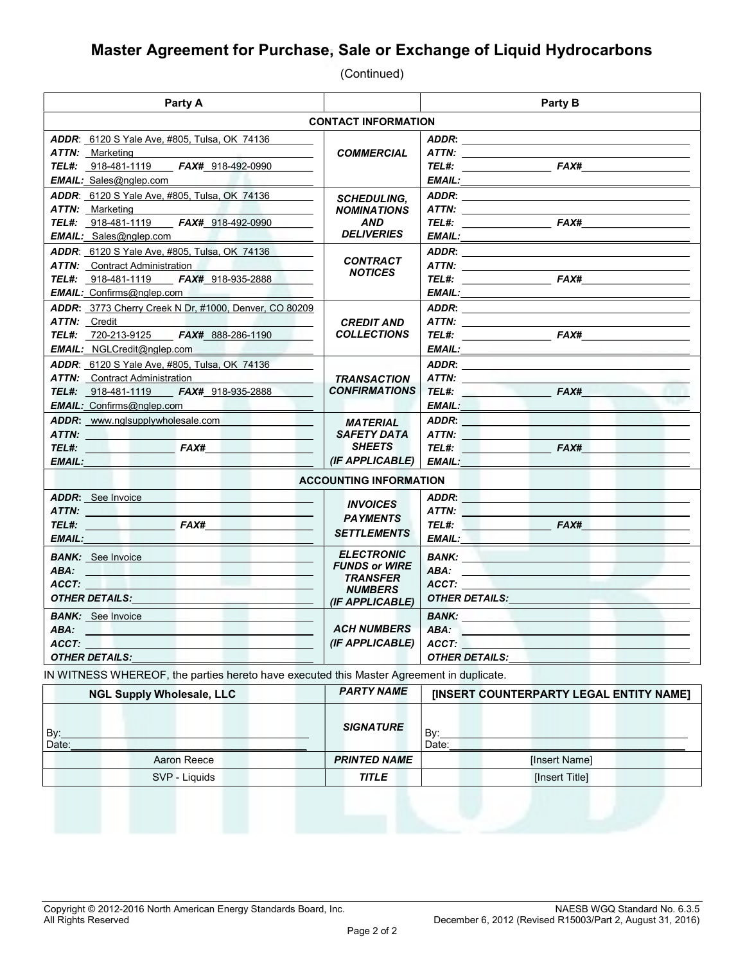# Master Agreement for Purchase, Sale or Exchange of Liquid Hydrocarbons

(Continued)

| Party A                                                                                                                                                                                                                                                                               |                                                                                                   | Party B                                                                                                                                                                                                                                                                  |  |  |
|---------------------------------------------------------------------------------------------------------------------------------------------------------------------------------------------------------------------------------------------------------------------------------------|---------------------------------------------------------------------------------------------------|--------------------------------------------------------------------------------------------------------------------------------------------------------------------------------------------------------------------------------------------------------------------------|--|--|
|                                                                                                                                                                                                                                                                                       | <b>CONTACT INFORMATION</b>                                                                        |                                                                                                                                                                                                                                                                          |  |  |
| <b>ADDR:</b> 6120 S Yale Ave, #805, Tulsa, OK 74136<br>ATTN: Marketing<br>TEL#: 918-481-1119    FAX# 918-492-0990<br><b>EMAIL:</b> Sales@nglep.com                                                                                                                                    | <b>COMMERCIAL</b>                                                                                 | TEL#: FAX#<br>EMAIL:                                                                                                                                                                                                                                                     |  |  |
| <b>ADDR:</b> 6120 S Yale Ave, #805, Tulsa, OK 74136<br>ATTN: Marketing<br>TEL#: 918-481-1119 FAX# 918-492-0990<br><b>EMAIL:</b> Sales@nglep.com                                                                                                                                       | <b>SCHEDULING.</b><br><b>NOMINATIONS</b><br><b>AND</b><br><b>DELIVERIES</b>                       | TEL#: FAX#<br>EMAIL:                                                                                                                                                                                                                                                     |  |  |
| ADDR: 6120 S Yale Ave, #805, Tulsa, OK 74136<br><b>ATTN:</b> Contract Administration<br><b>TEL#:</b> 918-481-1119 <b>FAX#</b> 918-935-2888<br>EMAIL: Confirms@nglep.com                                                                                                               | <b>CONTRACT</b><br><b>NOTICES</b>                                                                 |                                                                                                                                                                                                                                                                          |  |  |
| ADDR: 3773 Cherry Creek N Dr. #1000, Denver, CO 80209<br>ATTN: Credit<br><b>TEL#:</b> 720-213-9125 <b>FAX#</b> 888-286-1190<br><b>EMAIL:</b> NGLCredit@nglep.com                                                                                                                      | <b>CREDIT AND</b><br><b>COLLECTIONS</b>                                                           | EMAIL:                                                                                                                                                                                                                                                                   |  |  |
| <b>ADDR:</b> 6120 S Yale Ave, #805, Tulsa, OK 74136<br><b>ATTN:</b> Contract Administration<br>TEL#: 918-481-1119 FAX# 918-935-2888<br>EMAIL: Confirms@nglep.com                                                                                                                      | <b>TRANSACTION</b><br><b>CONFIRMATIONS</b>                                                        | ADDR: Andrew Management of the Second Second Second Second Second Second Second Second Second Second Second Second Second Second Second Second Second Second Second Second Second Second Second Second Second Second Second Se<br>TEL#: FAX#<br><b>EMAIL:</b>            |  |  |
| ADDR: www.nglsupplywholesale.com<br>FAX#<br><i><b>EMAIL:</b></i>                                                                                                                                                                                                                      | <b>MATERIAL</b><br><b>SAFETY DATA</b><br><b>SHEETS</b><br>(IF APPLICABLE)                         | ADDR:<br>ATTN:<br>TEL#:<br>FAX#<br>EMAIL:                                                                                                                                                                                                                                |  |  |
| <b>ACCOUNTING INFORMATION</b>                                                                                                                                                                                                                                                         |                                                                                                   |                                                                                                                                                                                                                                                                          |  |  |
| <b>ADDR:</b> See Invoice<br>ATTN:<br>FAX#<br>TEL#: Andrew Contract Contract of the Contract of the Contract of the Contract of the Contract of the Contract of the Contract of the Contract of the Contract of the Contract of the Contract of the Contract of the Contract<br>EMAIL: | <b>INVOICES</b><br><b>PAYMENTS</b><br><b>SETTLEMENTS</b>                                          | ADDR:<br>ATTN:<br>TEL#:<br>FAX#<br><b>EMAIL:</b>                                                                                                                                                                                                                         |  |  |
| <b>BANK:</b> See Invoice<br>ABA: ABA:<br>ACCT:<br><b>OTHER DETAILS:</b>                                                                                                                                                                                                               | <b>ELECTRONIC</b><br><b>FUNDS or WIRE</b><br><b>TRANSFER</b><br><b>NUMBERS</b><br>(IF APPLICABLE) | BANK: New York State State State State State State State State State State State State State State State State State State State State State State State State State State State State State State State State State State Sta<br>ABA:<br>ACCT:<br><b>OTHER DETAILS:</b> |  |  |
| <b>BANK:</b> See Invoice<br>ABA: New York 1989<br>ACCT:<br><b>OTHER DETAILS:</b><br>IN WITNESS WHEREOF, the parties hereto have executed this Master Agreement in duplicate.                                                                                                          | <b>ACH NUMBERS</b><br>(IF APPLICABLE)                                                             | BANK: <b>Example</b><br>ABA:<br>ACCT:<br><b>OTHER DETAILS:</b>                                                                                                                                                                                                           |  |  |

NGL Supply Wholesale, LLC **PARTY NAME** [INSERT COUNTERPARTY LEGAL ENTITY NAME] By: Date:\_\_\_\_\_\_\_\_\_\_\_\_\_\_\_\_\_\_\_\_\_\_\_\_\_\_\_\_\_\_\_\_\_\_\_\_\_\_\_\_\_ SIGNATURE  $B_{\text{By:}}$ Date:\_\_\_\_\_\_\_\_\_\_\_\_\_\_\_\_\_\_\_\_\_\_\_\_\_\_\_\_\_\_\_\_\_\_\_\_\_\_\_\_\_ Aaron Reece **PRINTED NAME** [Insert Name] SVP - Liquids **TITLE TITLE I TITLE I I Insert Title**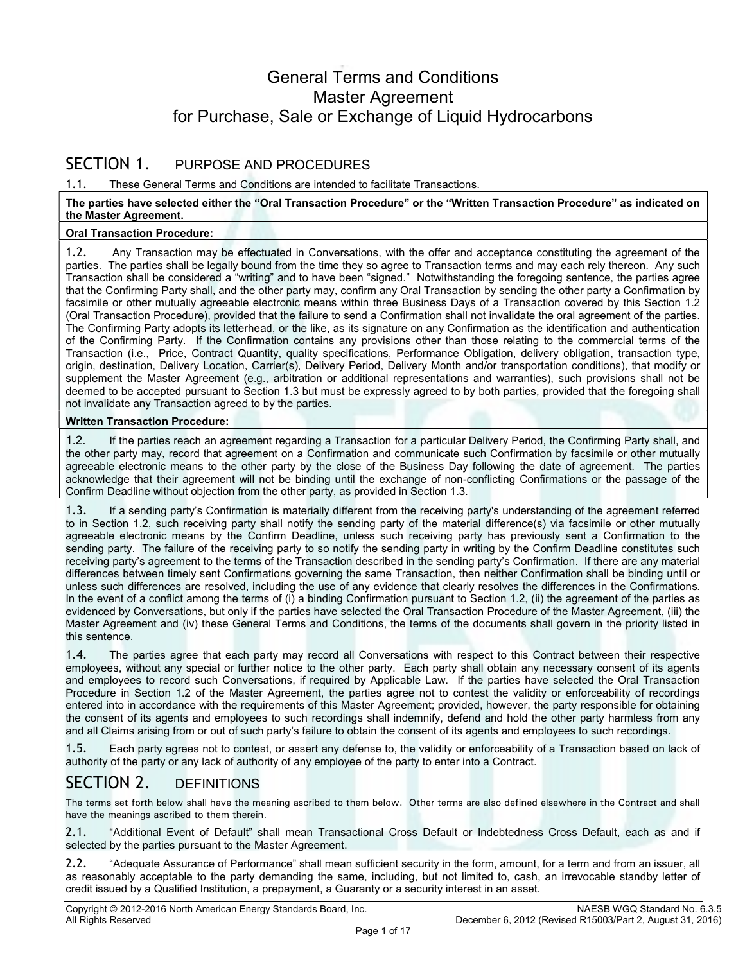# General Terms and Conditions Master Agreement for Purchase, Sale or Exchange of Liquid Hydrocarbons

## SECTION 1. PURPOSE AND PROCEDURES

1.1. These General Terms and Conditions are intended to facilitate Transactions.

The parties have selected either the "Oral Transaction Procedure" or the "Written Transaction Procedure" as indicated on the Master Agreement.

#### Oral Transaction Procedure:

1.2. Any Transaction may be effectuated in Conversations, with the offer and acceptance constituting the agreement of the parties. The parties shall be legally bound from the time they so agree to Transaction terms and may each rely thereon. Any such Transaction shall be considered a "writing" and to have been "signed." Notwithstanding the foregoing sentence, the parties agree that the Confirming Party shall, and the other party may, confirm any Oral Transaction by sending the other party a Confirmation by facsimile or other mutually agreeable electronic means within three Business Days of a Transaction covered by this Section 1.2 (Oral Transaction Procedure), provided that the failure to send a Confirmation shall not invalidate the oral agreement of the parties. The Confirming Party adopts its letterhead, or the like, as its signature on any Confirmation as the identification and authentication of the Confirming Party. If the Confirmation contains any provisions other than those relating to the commercial terms of the Transaction (i.e., Price, Contract Quantity, quality specifications, Performance Obligation, delivery obligation, transaction type, origin, destination, Delivery Location, Carrier(s), Delivery Period, Delivery Month and/or transportation conditions), that modify or supplement the Master Agreement (e.g., arbitration or additional representations and warranties), such provisions shall not be deemed to be accepted pursuant to Section 1.3 but must be expressly agreed to by both parties, provided that the foregoing shall not invalidate any Transaction agreed to by the parties.

### Written Transaction Procedure:

1.2. If the parties reach an agreement regarding a Transaction for a particular Delivery Period, the Confirming Party shall, and the other party may, record that agreement on a Confirmation and communicate such Confirmation by facsimile or other mutually agreeable electronic means to the other party by the close of the Business Day following the date of agreement. The parties acknowledge that their agreement will not be binding until the exchange of non-conflicting Confirmations or the passage of the Confirm Deadline without objection from the other party, as provided in Section 1.3.

1.3. If a sending party's Confirmation is materially different from the receiving party's understanding of the agreement referred to in Section 1.2, such receiving party shall notify the sending party of the material difference(s) via facsimile or other mutually agreeable electronic means by the Confirm Deadline, unless such receiving party has previously sent a Confirmation to the sending party. The failure of the receiving party to so notify the sending party in writing by the Confirm Deadline constitutes such receiving party's agreement to the terms of the Transaction described in the sending party's Confirmation. If there are any material differences between timely sent Confirmations governing the same Transaction, then neither Confirmation shall be binding until or unless such differences are resolved, including the use of any evidence that clearly resolves the differences in the Confirmations. In the event of a conflict among the terms of (i) a binding Confirmation pursuant to Section 1.2, (ii) the agreement of the parties as evidenced by Conversations, but only if the parties have selected the Oral Transaction Procedure of the Master Agreement, (iii) the Master Agreement and (iv) these General Terms and Conditions, the terms of the documents shall govern in the priority listed in this sentence.

1.4. The parties agree that each party may record all Conversations with respect to this Contract between their respective employees, without any special or further notice to the other party. Each party shall obtain any necessary consent of its agents and employees to record such Conversations, if required by Applicable Law. If the parties have selected the Oral Transaction Procedure in Section 1.2 of the Master Agreement, the parties agree not to contest the validity or enforceability of recordings entered into in accordance with the requirements of this Master Agreement; provided, however, the party responsible for obtaining the consent of its agents and employees to such recordings shall indemnify, defend and hold the other party harmless from any and all Claims arising from or out of such party's failure to obtain the consent of its agents and employees to such recordings.

1.5. Each party agrees not to contest, or assert any defense to, the validity or enforceability of a Transaction based on lack of authority of the party or any lack of authority of any employee of the party to enter into a Contract.

## SECTION 2. DEFINITIONS

The terms set forth below shall have the meaning ascribed to them below. Other terms are also defined elsewhere in the Contract and shall have the meanings ascribed to them therein.

2.1. "Additional Event of Default" shall mean Transactional Cross Default or Indebtedness Cross Default, each as and if selected by the parties pursuant to the Master Agreement.

2.2. "Adequate Assurance of Performance" shall mean sufficient security in the form, amount, for a term and from an issuer, all as reasonably acceptable to the party demanding the same, including, but not limited to, cash, an irrevocable standby letter of credit issued by a Qualified Institution, a prepayment, a Guaranty or a security interest in an asset.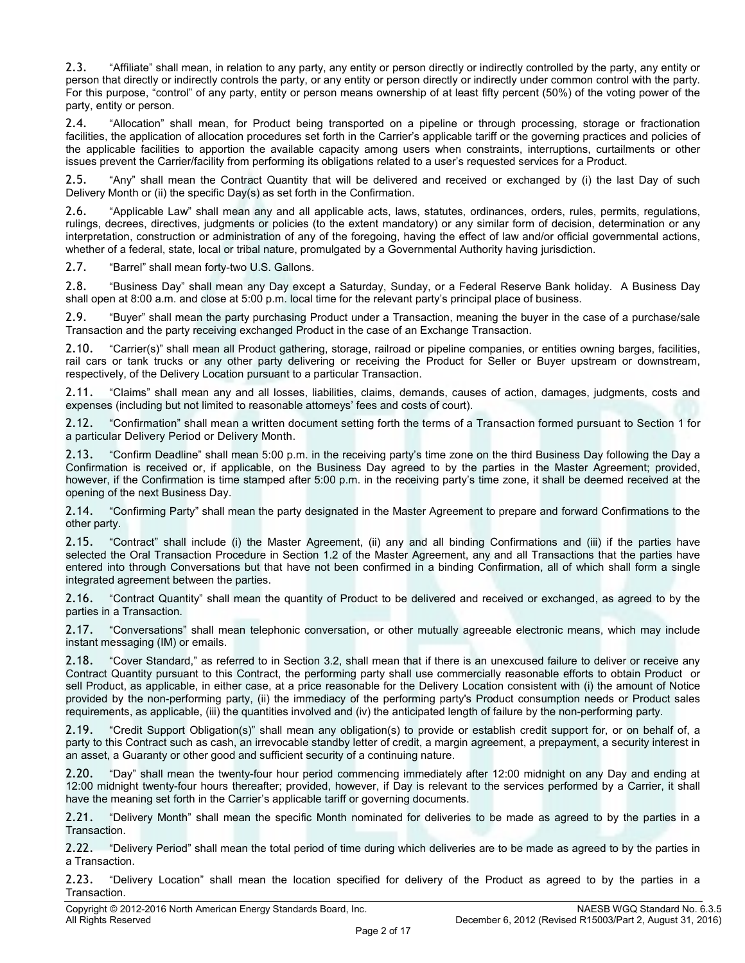2.3. "Affiliate" shall mean, in relation to any party, any entity or person directly or indirectly controlled by the party, any entity or person that directly or indirectly controls the party, or any entity or person directly or indirectly under common control with the party. For this purpose, "control" of any party, entity or person means ownership of at least fifty percent (50%) of the voting power of the party, entity or person.

2.4. "Allocation" shall mean, for Product being transported on a pipeline or through processing, storage or fractionation facilities, the application of allocation procedures set forth in the Carrier's applicable tariff or the governing practices and policies of the applicable facilities to apportion the available capacity among users when constraints, interruptions, curtailments or other issues prevent the Carrier/facility from performing its obligations related to a user's requested services for a Product.

2.5. "Any" shall mean the Contract Quantity that will be delivered and received or exchanged by (i) the last Day of such Delivery Month or (ii) the specific Day(s) as set forth in the Confirmation.

2.6. "Applicable Law" shall mean any and all applicable acts, laws, statutes, ordinances, orders, rules, permits, regulations, rulings, decrees, directives, judgments or policies (to the extent mandatory) or any similar form of decision, determination or any interpretation, construction or administration of any of the foregoing, having the effect of law and/or official governmental actions, whether of a federal, state, local or tribal nature, promulgated by a Governmental Authority having jurisdiction.

2.7. "Barrel" shall mean forty-two U.S. Gallons.

2.8. "Business Day" shall mean any Day except a Saturday, Sunday, or a Federal Reserve Bank holiday. A Business Day shall open at 8:00 a.m. and close at 5:00 p.m. local time for the relevant party's principal place of business.

2.9. "Buyer" shall mean the party purchasing Product under a Transaction, meaning the buyer in the case of a purchase/sale Transaction and the party receiving exchanged Product in the case of an Exchange Transaction.

2.10. "Carrier(s)" shall mean all Product gathering, storage, railroad or pipeline companies, or entities owning barges, facilities, rail cars or tank trucks or any other party delivering or receiving the Product for Seller or Buyer upstream or downstream, respectively, of the Delivery Location pursuant to a particular Transaction.

2.11. "Claims" shall mean any and all losses, liabilities, claims, demands, causes of action, damages, judgments, costs and expenses (including but not limited to reasonable attorneys' fees and costs of court).

2.12. "Confirmation" shall mean a written document setting forth the terms of a Transaction formed pursuant to Section 1 for a particular Delivery Period or Delivery Month.

2.13. "Confirm Deadline" shall mean 5:00 p.m. in the receiving party's time zone on the third Business Day following the Day a Confirmation is received or, if applicable, on the Business Day agreed to by the parties in the Master Agreement; provided, however, if the Confirmation is time stamped after 5:00 p.m. in the receiving party's time zone, it shall be deemed received at the opening of the next Business Day.

2.14. "Confirming Party" shall mean the party designated in the Master Agreement to prepare and forward Confirmations to the other party.

2.15. "Contract" shall include (i) the Master Agreement, (ii) any and all binding Confirmations and (iii) if the parties have selected the Oral Transaction Procedure in Section 1.2 of the Master Agreement, any and all Transactions that the parties have entered into through Conversations but that have not been confirmed in a binding Confirmation, all of which shall form a single integrated agreement between the parties.

2.16. "Contract Quantity" shall mean the quantity of Product to be delivered and received or exchanged, as agreed to by the parties in a Transaction.

2.17. "Conversations" shall mean telephonic conversation, or other mutually agreeable electronic means, which may include instant messaging (IM) or emails.

2.18. "Cover Standard," as referred to in Section 3.2, shall mean that if there is an unexcused failure to deliver or receive any Contract Quantity pursuant to this Contract, the performing party shall use commercially reasonable efforts to obtain Product or sell Product, as applicable, in either case, at a price reasonable for the Delivery Location consistent with (i) the amount of Notice provided by the non-performing party, (ii) the immediacy of the performing party's Product consumption needs or Product sales requirements, as applicable, (iii) the quantities involved and (iv) the anticipated length of failure by the non-performing party.

2.19. "Credit Support Obligation(s)" shall mean any obligation(s) to provide or establish credit support for, or on behalf of, a party to this Contract such as cash, an irrevocable standby letter of credit, a margin agreement, a prepayment, a security interest in an asset, a Guaranty or other good and sufficient security of a continuing nature.

2.20. "Day" shall mean the twenty-four hour period commencing immediately after 12:00 midnight on any Day and ending at 12:00 midnight twenty-four hours thereafter; provided, however, if Day is relevant to the services performed by a Carrier, it shall have the meaning set forth in the Carrier's applicable tariff or governing documents.

2.21. "Delivery Month" shall mean the specific Month nominated for deliveries to be made as agreed to by the parties in a Transaction.

2.22. "Delivery Period" shall mean the total period of time during which deliveries are to be made as agreed to by the parties in a Transaction.

2.23. "Delivery Location" shall mean the location specified for delivery of the Product as agreed to by the parties in a Transaction.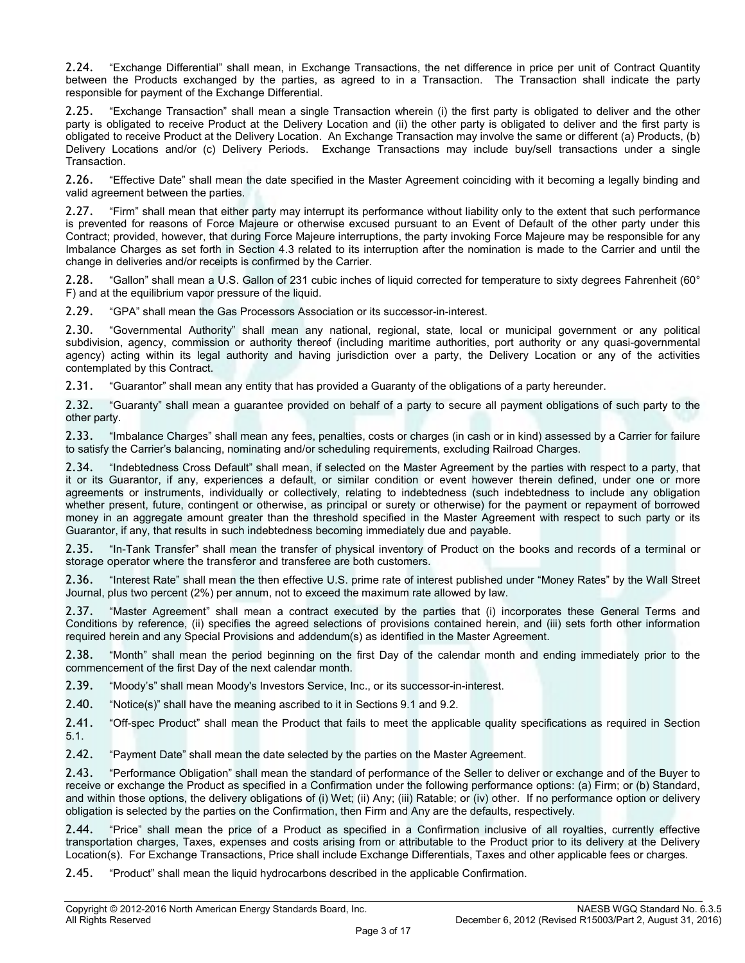2.24. "Exchange Differential" shall mean, in Exchange Transactions, the net difference in price per unit of Contract Quantity between the Products exchanged by the parties, as agreed to in a Transaction. The Transaction shall indicate the party responsible for payment of the Exchange Differential.

2.25. "Exchange Transaction" shall mean a single Transaction wherein (i) the first party is obligated to deliver and the other party is obligated to receive Product at the Delivery Location and (ii) the other party is obligated to deliver and the first party is obligated to receive Product at the Delivery Location. An Exchange Transaction may involve the same or different (a) Products, (b) Delivery Locations and/or (c) Delivery Periods. Exchange Transactions may include buy/sell transactions under a single Transaction.

2.26. "Effective Date" shall mean the date specified in the Master Agreement coinciding with it becoming a legally binding and valid agreement between the parties.

2.27. "Firm" shall mean that either party may interrupt its performance without liability only to the extent that such performance is prevented for reasons of Force Majeure or otherwise excused pursuant to an Event of Default of the other party under this Contract; provided, however, that during Force Majeure interruptions, the party invoking Force Majeure may be responsible for any Imbalance Charges as set forth in Section 4.3 related to its interruption after the nomination is made to the Carrier and until the change in deliveries and/or receipts is confirmed by the Carrier.

2.28. "Gallon" shall mean a U.S. Gallon of 231 cubic inches of liquid corrected for temperature to sixty degrees Fahrenheit (60° F) and at the equilibrium vapor pressure of the liquid.

2.29. "GPA" shall mean the Gas Processors Association or its successor-in-interest.

2.30. "Governmental Authority" shall mean any national, regional, state, local or municipal government or any political subdivision, agency, commission or authority thereof (including maritime authorities, port authority or any quasi-governmental agency) acting within its legal authority and having jurisdiction over a party, the Delivery Location or any of the activities contemplated by this Contract.

2.31. "Guarantor" shall mean any entity that has provided a Guaranty of the obligations of a party hereunder.

2.32. "Guaranty" shall mean a guarantee provided on behalf of a party to secure all payment obligations of such party to the other party.

2.33. "Imbalance Charges" shall mean any fees, penalties, costs or charges (in cash or in kind) assessed by a Carrier for failure to satisfy the Carrier's balancing, nominating and/or scheduling requirements, excluding Railroad Charges.

2.34. "Indebtedness Cross Default" shall mean, if selected on the Master Agreement by the parties with respect to a party, that it or its Guarantor, if any, experiences a default, or similar condition or event however therein defined, under one or more agreements or instruments, individually or collectively, relating to indebtedness (such indebtedness to include any obligation whether present, future, contingent or otherwise, as principal or surety or otherwise) for the payment or repayment of borrowed money in an aggregate amount greater than the threshold specified in the Master Agreement with respect to such party or its Guarantor, if any, that results in such indebtedness becoming immediately due and payable.

2.35. "In-Tank Transfer" shall mean the transfer of physical inventory of Product on the books and records of a terminal or storage operator where the transferor and transferee are both customers.

2.36. "Interest Rate" shall mean the then effective U.S. prime rate of interest published under "Money Rates" by the Wall Street Journal, plus two percent (2%) per annum, not to exceed the maximum rate allowed by law.

2.37. "Master Agreement" shall mean a contract executed by the parties that (i) incorporates these General Terms and Conditions by reference, (ii) specifies the agreed selections of provisions contained herein, and (iii) sets forth other information required herein and any Special Provisions and addendum(s) as identified in the Master Agreement.

2.38. "Month" shall mean the period beginning on the first Day of the calendar month and ending immediately prior to the commencement of the first Day of the next calendar month.

2.39. "Moody's" shall mean Moody's Investors Service, Inc., or its successor-in-interest.

2.40. "Notice(s)" shall have the meaning ascribed to it in Sections 9.1 and 9.2.

2.41. "Off-spec Product" shall mean the Product that fails to meet the applicable quality specifications as required in Section 5.1.

2.42. "Payment Date" shall mean the date selected by the parties on the Master Agreement.

2.43. "Performance Obligation" shall mean the standard of performance of the Seller to deliver or exchange and of the Buyer to receive or exchange the Product as specified in a Confirmation under the following performance options: (a) Firm; or (b) Standard, and within those options, the delivery obligations of (i) Wet; (ii) Any; (iii) Ratable; or (iv) other. If no performance option or delivery obligation is selected by the parties on the Confirmation, then Firm and Any are the defaults, respectively.

2.44. "Price" shall mean the price of a Product as specified in a Confirmation inclusive of all royalties, currently effective transportation charges, Taxes, expenses and costs arising from or attributable to the Product prior to its delivery at the Delivery Location(s). For Exchange Transactions, Price shall include Exchange Differentials, Taxes and other applicable fees or charges.

2.45. "Product" shall mean the liquid hydrocarbons described in the applicable Confirmation.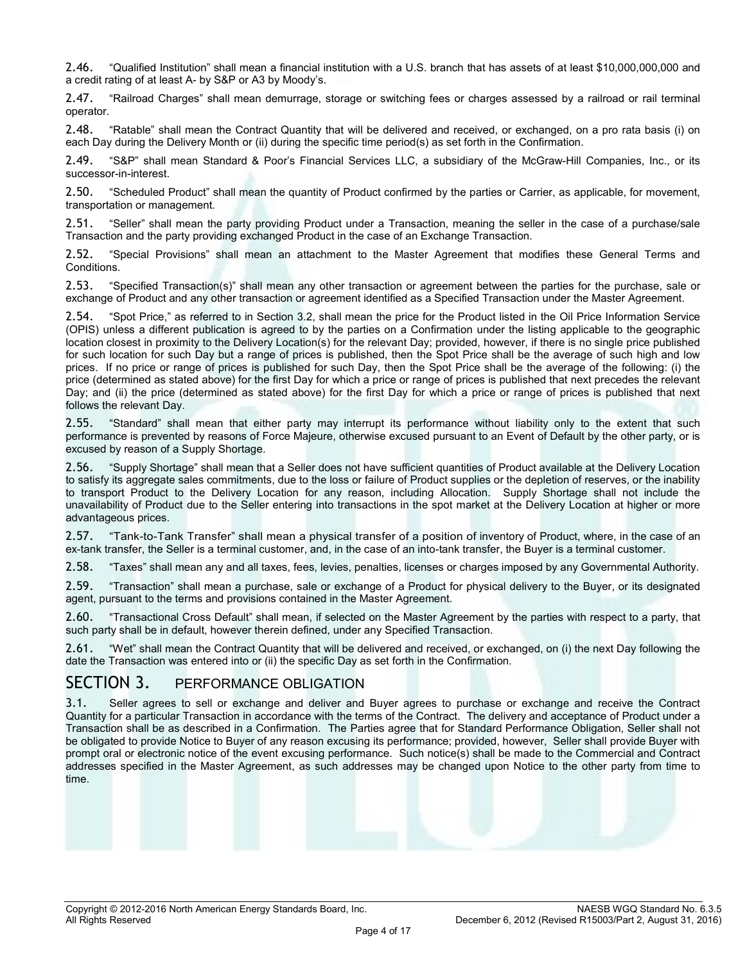2.46. "Qualified Institution" shall mean a financial institution with a U.S. branch that has assets of at least \$10,000,000,000 and a credit rating of at least A- by S&P or A3 by Moody's.

2.47. "Railroad Charges" shall mean demurrage, storage or switching fees or charges assessed by a railroad or rail terminal operator.

2.48. "Ratable" shall mean the Contract Quantity that will be delivered and received, or exchanged, on a pro rata basis (i) on each Day during the Delivery Month or (ii) during the specific time period(s) as set forth in the Confirmation.

2.49. "S&P" shall mean Standard & Poor's Financial Services LLC, a subsidiary of the McGraw-Hill Companies, Inc., or its successor-in-interest.

2.50. "Scheduled Product" shall mean the quantity of Product confirmed by the parties or Carrier, as applicable, for movement, transportation or management.

2.51. "Seller" shall mean the party providing Product under a Transaction, meaning the seller in the case of a purchase/sale Transaction and the party providing exchanged Product in the case of an Exchange Transaction.

2.52. "Special Provisions" shall mean an attachment to the Master Agreement that modifies these General Terms and Conditions.

2.53. "Specified Transaction(s)" shall mean any other transaction or agreement between the parties for the purchase, sale or exchange of Product and any other transaction or agreement identified as a Specified Transaction under the Master Agreement.

2.54. "Spot Price," as referred to in Section 3.2, shall mean the price for the Product listed in the Oil Price Information Service (OPIS) unless a different publication is agreed to by the parties on a Confirmation under the listing applicable to the geographic location closest in proximity to the Delivery Location(s) for the relevant Day; provided, however, if there is no single price published for such location for such Day but a range of prices is published, then the Spot Price shall be the average of such high and low prices. If no price or range of prices is published for such Day, then the Spot Price shall be the average of the following: (i) the price (determined as stated above) for the first Day for which a price or range of prices is published that next precedes the relevant Day; and (ii) the price (determined as stated above) for the first Day for which a price or range of prices is published that next follows the relevant Day.

2.55. "Standard" shall mean that either party may interrupt its performance without liability only to the extent that such performance is prevented by reasons of Force Majeure, otherwise excused pursuant to an Event of Default by the other party, or is excused by reason of a Supply Shortage.

2.56. "Supply Shortage" shall mean that a Seller does not have sufficient quantities of Product available at the Delivery Location to satisfy its aggregate sales commitments, due to the loss or failure of Product supplies or the depletion of reserves, or the inability to transport Product to the Delivery Location for any reason, including Allocation. Supply Shortage shall not include the unavailability of Product due to the Seller entering into transactions in the spot market at the Delivery Location at higher or more advantageous prices.

2.57. "Tank-to-Tank Transfer" shall mean a physical transfer of a position of inventory of Product, where, in the case of an ex-tank transfer, the Seller is a terminal customer, and, in the case of an into-tank transfer, the Buyer is a terminal customer.

2.58. "Taxes" shall mean any and all taxes, fees, levies, penalties, licenses or charges imposed by any Governmental Authority.

2.59. "Transaction" shall mean a purchase, sale or exchange of a Product for physical delivery to the Buyer, or its designated agent, pursuant to the terms and provisions contained in the Master Agreement.

2.60. "Transactional Cross Default" shall mean, if selected on the Master Agreement by the parties with respect to a party, that such party shall be in default, however therein defined, under any Specified Transaction.

2.61. "Wet" shall mean the Contract Quantity that will be delivered and received, or exchanged, on (i) the next Day following the date the Transaction was entered into or (ii) the specific Day as set forth in the Confirmation.

## SECTION 3. PERFORMANCE OBLIGATION

3.1. Seller agrees to sell or exchange and deliver and Buyer agrees to purchase or exchange and receive the Contract Quantity for a particular Transaction in accordance with the terms of the Contract. The delivery and acceptance of Product under a Transaction shall be as described in a Confirmation. The Parties agree that for Standard Performance Obligation, Seller shall not be obligated to provide Notice to Buyer of any reason excusing its performance; provided, however, Seller shall provide Buyer with prompt oral or electronic notice of the event excusing performance. Such notice(s) shall be made to the Commercial and Contract addresses specified in the Master Agreement, as such addresses may be changed upon Notice to the other party from time to time.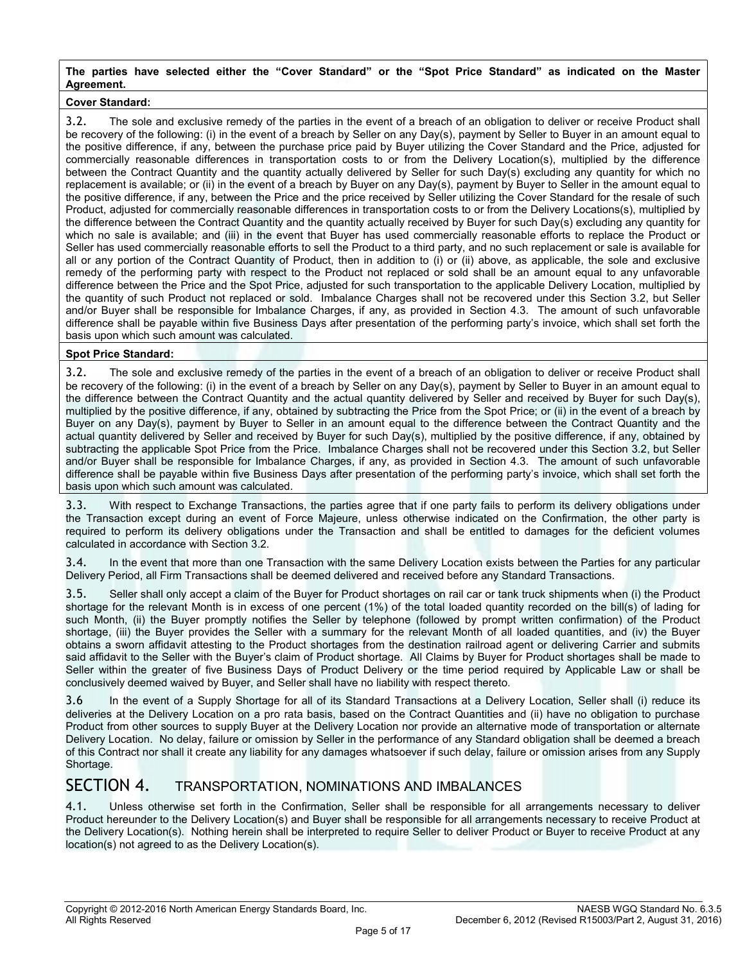### The parties have selected either the "Cover Standard" or the "Spot Price Standard" as indicated on the Master Agreement.

### Cover Standard:

3.2. The sole and exclusive remedy of the parties in the event of a breach of an obligation to deliver or receive Product shall be recovery of the following: (i) in the event of a breach by Seller on any Day(s), payment by Seller to Buyer in an amount equal to the positive difference, if any, between the purchase price paid by Buyer utilizing the Cover Standard and the Price, adjusted for commercially reasonable differences in transportation costs to or from the Delivery Location(s), multiplied by the difference between the Contract Quantity and the quantity actually delivered by Seller for such Day(s) excluding any quantity for which no replacement is available; or (ii) in the event of a breach by Buyer on any Day(s), payment by Buyer to Seller in the amount equal to the positive difference, if any, between the Price and the price received by Seller utilizing the Cover Standard for the resale of such Product, adjusted for commercially reasonable differences in transportation costs to or from the Delivery Locations(s), multiplied by the difference between the Contract Quantity and the quantity actually received by Buyer for such Day(s) excluding any quantity for which no sale is available; and (iii) in the event that Buyer has used commercially reasonable efforts to replace the Product or Seller has used commercially reasonable efforts to sell the Product to a third party, and no such replacement or sale is available for all or any portion of the Contract Quantity of Product, then in addition to (i) or (ii) above, as applicable, the sole and exclusive remedy of the performing party with respect to the Product not replaced or sold shall be an amount equal to any unfavorable difference between the Price and the Spot Price, adjusted for such transportation to the applicable Delivery Location, multiplied by the quantity of such Product not replaced or sold. Imbalance Charges shall not be recovered under this Section 3.2, but Seller and/or Buyer shall be responsible for Imbalance Charges, if any, as provided in Section 4.3. The amount of such unfavorable difference shall be payable within five Business Days after presentation of the performing party's invoice, which shall set forth the basis upon which such amount was calculated.

### Spot Price Standard:

3.2. The sole and exclusive remedy of the parties in the event of a breach of an obligation to deliver or receive Product shall be recovery of the following: (i) in the event of a breach by Seller on any Day(s), payment by Seller to Buyer in an amount equal to the difference between the Contract Quantity and the actual quantity delivered by Seller and received by Buyer for such Day(s), multiplied by the positive difference, if any, obtained by subtracting the Price from the Spot Price; or (ii) in the event of a breach by Buyer on any Day(s), payment by Buyer to Seller in an amount equal to the difference between the Contract Quantity and the actual quantity delivered by Seller and received by Buyer for such Day(s), multiplied by the positive difference, if any, obtained by subtracting the applicable Spot Price from the Price. Imbalance Charges shall not be recovered under this Section 3.2, but Seller and/or Buyer shall be responsible for Imbalance Charges, if any, as provided in Section 4.3. The amount of such unfavorable difference shall be payable within five Business Days after presentation of the performing party's invoice, which shall set forth the basis upon which such amount was calculated.

3.3. With respect to Exchange Transactions, the parties agree that if one party fails to perform its delivery obligations under the Transaction except during an event of Force Majeure, unless otherwise indicated on the Confirmation, the other party is required to perform its delivery obligations under the Transaction and shall be entitled to damages for the deficient volumes calculated in accordance with Section 3.2.

3.4. In the event that more than one Transaction with the same Delivery Location exists between the Parties for any particular Delivery Period, all Firm Transactions shall be deemed delivered and received before any Standard Transactions.

3.5. Seller shall only accept a claim of the Buyer for Product shortages on rail car or tank truck shipments when (i) the Product shortage for the relevant Month is in excess of one percent (1%) of the total loaded quantity recorded on the bill(s) of lading for such Month, (ii) the Buyer promptly notifies the Seller by telephone (followed by prompt written confirmation) of the Product shortage, (iii) the Buyer provides the Seller with a summary for the relevant Month of all loaded quantities, and (iv) the Buyer obtains a sworn affidavit attesting to the Product shortages from the destination railroad agent or delivering Carrier and submits said affidavit to the Seller with the Buyer's claim of Product shortage. All Claims by Buyer for Product shortages shall be made to Seller within the greater of five Business Days of Product Delivery or the time period required by Applicable Law or shall be conclusively deemed waived by Buyer, and Seller shall have no liability with respect thereto.

3.6 In the event of a Supply Shortage for all of its Standard Transactions at a Delivery Location, Seller shall (i) reduce its deliveries at the Delivery Location on a pro rata basis, based on the Contract Quantities and (ii) have no obligation to purchase Product from other sources to supply Buyer at the Delivery Location nor provide an alternative mode of transportation or alternate Delivery Location. No delay, failure or omission by Seller in the performance of any Standard obligation shall be deemed a breach of this Contract nor shall it create any liability for any damages whatsoever if such delay, failure or omission arises from any Supply Shortage.

### SECTION 4. TRANSPORTATION, NOMINATIONS AND IMBALANCES

4.1. Unless otherwise set forth in the Confirmation, Seller shall be responsible for all arrangements necessary to deliver Product hereunder to the Delivery Location(s) and Buyer shall be responsible for all arrangements necessary to receive Product at the Delivery Location(s). Nothing herein shall be interpreted to require Seller to deliver Product or Buyer to receive Product at any location(s) not agreed to as the Delivery Location(s).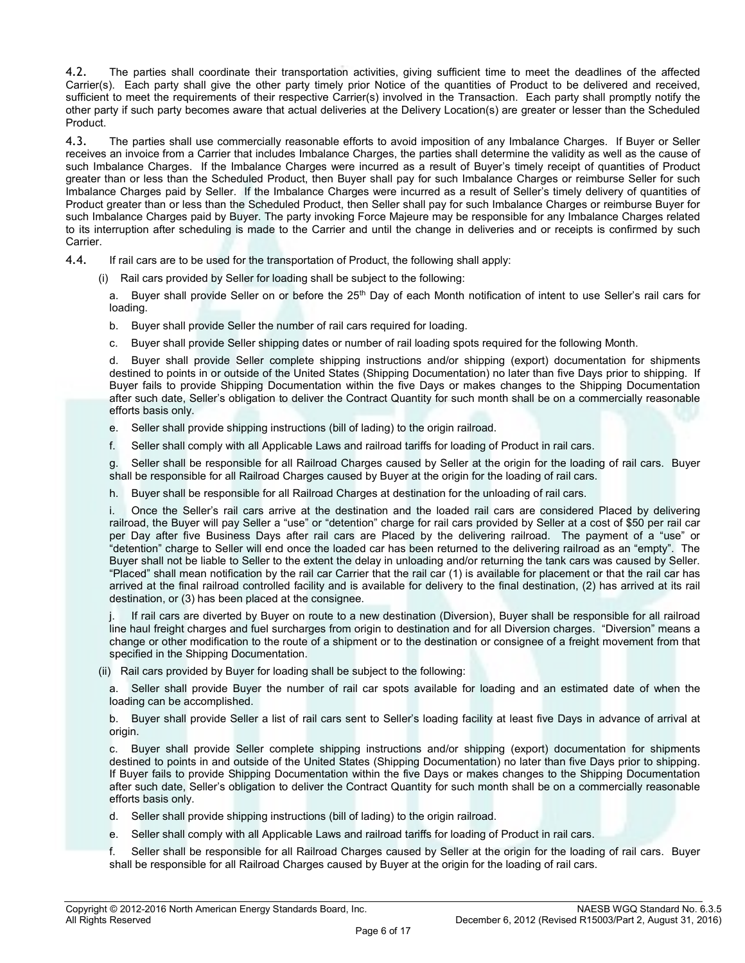4.2. The parties shall coordinate their transportation activities, giving sufficient time to meet the deadlines of the affected Carrier(s). Each party shall give the other party timely prior Notice of the quantities of Product to be delivered and received, sufficient to meet the requirements of their respective Carrier(s) involved in the Transaction. Each party shall promptly notify the other party if such party becomes aware that actual deliveries at the Delivery Location(s) are greater or lesser than the Scheduled Product.

4.3. The parties shall use commercially reasonable efforts to avoid imposition of any Imbalance Charges. If Buyer or Seller receives an invoice from a Carrier that includes Imbalance Charges, the parties shall determine the validity as well as the cause of such Imbalance Charges. If the Imbalance Charges were incurred as a result of Buyer's timely receipt of quantities of Product greater than or less than the Scheduled Product, then Buyer shall pay for such Imbalance Charges or reimburse Seller for such Imbalance Charges paid by Seller. If the Imbalance Charges were incurred as a result of Seller's timely delivery of quantities of Product greater than or less than the Scheduled Product, then Seller shall pay for such Imbalance Charges or reimburse Buyer for such Imbalance Charges paid by Buyer. The party invoking Force Majeure may be responsible for any Imbalance Charges related to its interruption after scheduling is made to the Carrier and until the change in deliveries and or receipts is confirmed by such Carrier.

4.4. If rail cars are to be used for the transportation of Product, the following shall apply:

(i) Rail cars provided by Seller for loading shall be subject to the following:

a. Buyer shall provide Seller on or before the 25<sup>th</sup> Day of each Month notification of intent to use Seller's rail cars for loading.

- b. Buyer shall provide Seller the number of rail cars required for loading.
- c. Buyer shall provide Seller shipping dates or number of rail loading spots required for the following Month.

d. Buyer shall provide Seller complete shipping instructions and/or shipping (export) documentation for shipments destined to points in or outside of the United States (Shipping Documentation) no later than five Days prior to shipping. If Buyer fails to provide Shipping Documentation within the five Days or makes changes to the Shipping Documentation after such date, Seller's obligation to deliver the Contract Quantity for such month shall be on a commercially reasonable efforts basis only.

- e. Seller shall provide shipping instructions (bill of lading) to the origin railroad.
- f. Seller shall comply with all Applicable Laws and railroad tariffs for loading of Product in rail cars.

g. Seller shall be responsible for all Railroad Charges caused by Seller at the origin for the loading of rail cars. Buyer shall be responsible for all Railroad Charges caused by Buyer at the origin for the loading of rail cars.

h. Buyer shall be responsible for all Railroad Charges at destination for the unloading of rail cars.

i. Once the Seller's rail cars arrive at the destination and the loaded rail cars are considered Placed by delivering railroad, the Buyer will pay Seller a "use" or "detention" charge for rail cars provided by Seller at a cost of \$50 per rail car per Day after five Business Days after rail cars are Placed by the delivering railroad. The payment of a "use" or "detention" charge to Seller will end once the loaded car has been returned to the delivering railroad as an "empty". The Buyer shall not be liable to Seller to the extent the delay in unloading and/or returning the tank cars was caused by Seller. "Placed" shall mean notification by the rail car Carrier that the rail car (1) is available for placement or that the rail car has arrived at the final railroad controlled facility and is available for delivery to the final destination, (2) has arrived at its rail destination, or (3) has been placed at the consignee.

If rail cars are diverted by Buyer on route to a new destination (Diversion), Buyer shall be responsible for all railroad line haul freight charges and fuel surcharges from origin to destination and for all Diversion charges. "Diversion" means a change or other modification to the route of a shipment or to the destination or consignee of a freight movement from that specified in the Shipping Documentation.

(ii) Rail cars provided by Buyer for loading shall be subject to the following:

a. Seller shall provide Buyer the number of rail car spots available for loading and an estimated date of when the loading can be accomplished.

b. Buyer shall provide Seller a list of rail cars sent to Seller's loading facility at least five Days in advance of arrival at origin.

c. Buyer shall provide Seller complete shipping instructions and/or shipping (export) documentation for shipments destined to points in and outside of the United States (Shipping Documentation) no later than five Days prior to shipping. If Buyer fails to provide Shipping Documentation within the five Days or makes changes to the Shipping Documentation after such date, Seller's obligation to deliver the Contract Quantity for such month shall be on a commercially reasonable efforts basis only.

- d. Seller shall provide shipping instructions (bill of lading) to the origin railroad.
- e. Seller shall comply with all Applicable Laws and railroad tariffs for loading of Product in rail cars.
- f. Seller shall be responsible for all Railroad Charges caused by Seller at the origin for the loading of rail cars. Buyer shall be responsible for all Railroad Charges caused by Buyer at the origin for the loading of rail cars.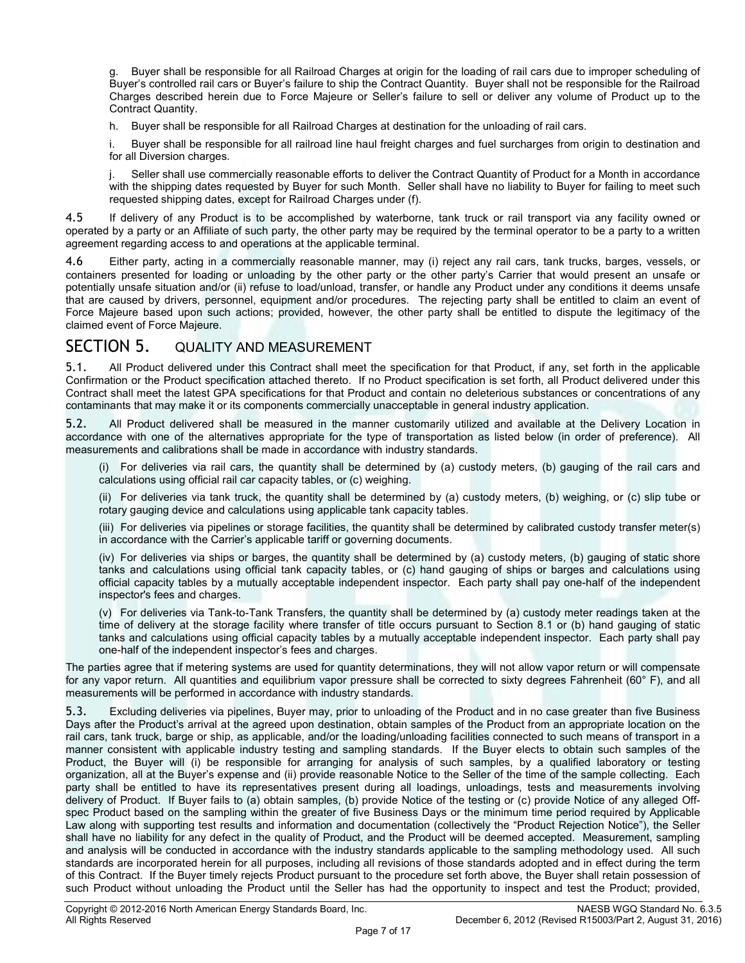g. Buyer shall be responsible for all Railroad Charges at origin for the loading of rail cars due to improper scheduling of Buyer's controlled rail cars or Buyer's failure to ship the Contract Quantity. Buyer shall not be responsible for the Railroad Charges described herein due to Force Majeure or Seller's failure to sell or deliver any volume of Product up to the Contract Quantity.

h. Buyer shall be responsible for all Railroad Charges at destination for the unloading of rail cars.

i. Buyer shall be responsible for all railroad line haul freight charges and fuel surcharges from origin to destination and for all Diversion charges.

j. Seller shall use commercially reasonable efforts to deliver the Contract Quantity of Product for a Month in accordance with the shipping dates requested by Buyer for such Month. Seller shall have no liability to Buyer for failing to meet such requested shipping dates, except for Railroad Charges under (f).

4.5 If delivery of any Product is to be accomplished by waterborne, tank truck or rail transport via any facility owned or operated by a party or an Affiliate of such party, the other party may be required by the terminal operator to be a party to a written agreement regarding access to and operations at the applicable terminal.

4.6 Either party, acting in a commercially reasonable manner, may (i) reject any rail cars, tank trucks, barges, vessels, or containers presented for loading or unloading by the other party or the other party's Carrier that would present an unsafe or potentially unsafe situation and/or (ii) refuse to load/unload, transfer, or handle any Product under any conditions it deems unsafe that are caused by drivers, personnel, equipment and/or procedures. The rejecting party shall be entitled to claim an event of Force Majeure based upon such actions; provided, however, the other party shall be entitled to dispute the legitimacy of the claimed event of Force Majeure.

## SECTION 5. QUALITY AND MEASUREMENT

5.1. All Product delivered under this Contract shall meet the specification for that Product, if any, set forth in the applicable Confirmation or the Product specification attached thereto. If no Product specification is set forth, all Product delivered under this Contract shall meet the latest GPA specifications for that Product and contain no deleterious substances or concentrations of any contaminants that may make it or its components commercially unacceptable in general industry application.

5.2. All Product delivered shall be measured in the manner customarily utilized and available at the Delivery Location in accordance with one of the alternatives appropriate for the type of transportation as listed below (in order of preference). All measurements and calibrations shall be made in accordance with industry standards.

(i) For deliveries via rail cars, the quantity shall be determined by (a) custody meters, (b) gauging of the rail cars and calculations using official rail car capacity tables, or (c) weighing.

(ii) For deliveries via tank truck, the quantity shall be determined by (a) custody meters, (b) weighing, or (c) slip tube or rotary gauging device and calculations using applicable tank capacity tables.

(iii) For deliveries via pipelines or storage facilities, the quantity shall be determined by calibrated custody transfer meter(s) in accordance with the Carrier's applicable tariff or governing documents.

(iv) For deliveries via ships or barges, the quantity shall be determined by (a) custody meters, (b) gauging of static shore tanks and calculations using official tank capacity tables, or (c) hand gauging of ships or barges and calculations using official capacity tables by a mutually acceptable independent inspector. Each party shall pay one-half of the independent inspector's fees and charges.

(v) For deliveries via Tank-to-Tank Transfers, the quantity shall be determined by (a) custody meter readings taken at the time of delivery at the storage facility where transfer of title occurs pursuant to Section 8.1 or (b) hand gauging of static tanks and calculations using official capacity tables by a mutually acceptable independent inspector. Each party shall pay one-half of the independent inspector's fees and charges.

The parties agree that if metering systems are used for quantity determinations, they will not allow vapor return or will compensate for any vapor return. All quantities and equilibrium vapor pressure shall be corrected to sixty degrees Fahrenheit (60° F), and all measurements will be performed in accordance with industry standards.

5.3. Excluding deliveries via pipelines, Buyer may, prior to unloading of the Product and in no case greater than five Business Days after the Product's arrival at the agreed upon destination, obtain samples of the Product from an appropriate location on the rail cars, tank truck, barge or ship, as applicable, and/or the loading/unloading facilities connected to such means of transport in a manner consistent with applicable industry testing and sampling standards. If the Buyer elects to obtain such samples of the Product, the Buyer will (i) be responsible for arranging for analysis of such samples, by a qualified laboratory or testing organization, all at the Buyer's expense and (ii) provide reasonable Notice to the Seller of the time of the sample collecting. Each party shall be entitled to have its representatives present during all loadings, unloadings, tests and measurements involving delivery of Product. If Buyer fails to (a) obtain samples, (b) provide Notice of the testing or (c) provide Notice of any alleged Offspec Product based on the sampling within the greater of five Business Days or the minimum time period required by Applicable Law along with supporting test results and information and documentation (collectively the "Product Rejection Notice"), the Seller shall have no liability for any defect in the quality of Product, and the Product will be deemed accepted. Measurement, sampling and analysis will be conducted in accordance with the industry standards applicable to the sampling methodology used. All such standards are incorporated herein for all purposes, including all revisions of those standards adopted and in effect during the term of this Contract. If the Buyer timely rejects Product pursuant to the procedure set forth above, the Buyer shall retain possession of such Product without unloading the Product until the Seller has had the opportunity to inspect and test the Product; provided,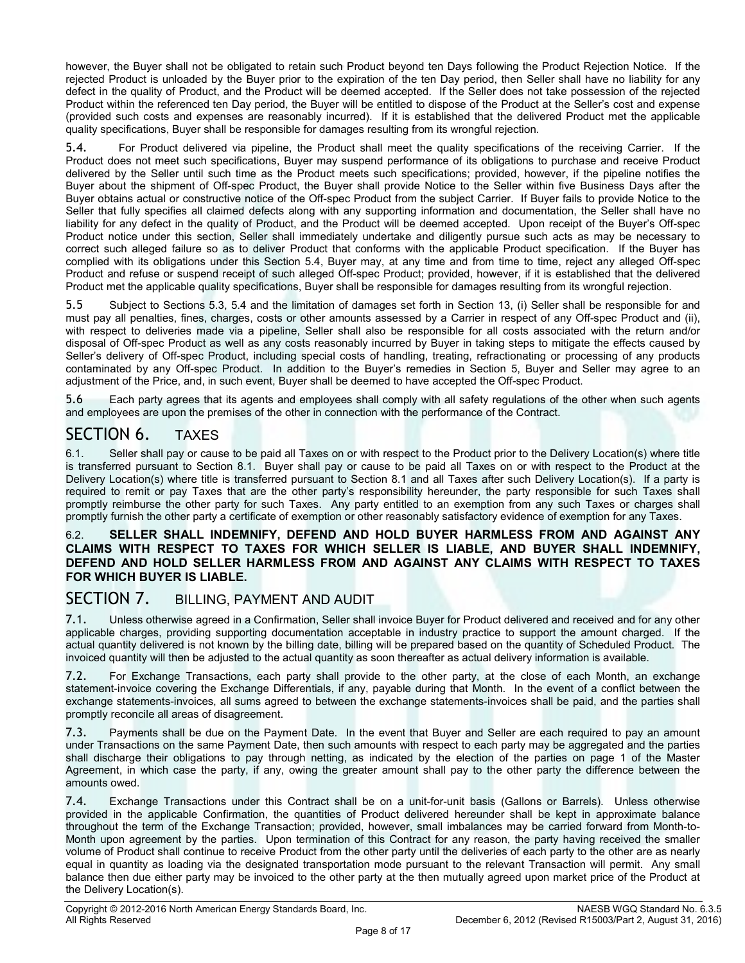however, the Buyer shall not be obligated to retain such Product beyond ten Days following the Product Rejection Notice. If the rejected Product is unloaded by the Buyer prior to the expiration of the ten Day period, then Seller shall have no liability for any defect in the quality of Product, and the Product will be deemed accepted. If the Seller does not take possession of the rejected Product within the referenced ten Day period, the Buyer will be entitled to dispose of the Product at the Seller's cost and expense (provided such costs and expenses are reasonably incurred). If it is established that the delivered Product met the applicable quality specifications, Buyer shall be responsible for damages resulting from its wrongful rejection.

5.4. For Product delivered via pipeline, the Product shall meet the quality specifications of the receiving Carrier. If the Product does not meet such specifications, Buyer may suspend performance of its obligations to purchase and receive Product delivered by the Seller until such time as the Product meets such specifications; provided, however, if the pipeline notifies the Buyer about the shipment of Off-spec Product, the Buyer shall provide Notice to the Seller within five Business Days after the Buyer obtains actual or constructive notice of the Off-spec Product from the subject Carrier. If Buyer fails to provide Notice to the Seller that fully specifies all claimed defects along with any supporting information and documentation, the Seller shall have no liability for any defect in the quality of Product, and the Product will be deemed accepted. Upon receipt of the Buyer's Off-spec Product notice under this section, Seller shall immediately undertake and diligently pursue such acts as may be necessary to correct such alleged failure so as to deliver Product that conforms with the applicable Product specification. If the Buyer has complied with its obligations under this Section 5.4, Buyer may, at any time and from time to time, reject any alleged Off-spec Product and refuse or suspend receipt of such alleged Off-spec Product; provided, however, if it is established that the delivered Product met the applicable quality specifications, Buyer shall be responsible for damages resulting from its wrongful rejection.

5.5 Subject to Sections 5.3, 5.4 and the limitation of damages set forth in Section 13, (i) Seller shall be responsible for and must pay all penalties, fines, charges, costs or other amounts assessed by a Carrier in respect of any Off-spec Product and (ii), with respect to deliveries made via a pipeline, Seller shall also be responsible for all costs associated with the return and/or disposal of Off-spec Product as well as any costs reasonably incurred by Buyer in taking steps to mitigate the effects caused by Seller's delivery of Off-spec Product, including special costs of handling, treating, refractionating or processing of any products contaminated by any Off-spec Product. In addition to the Buyer's remedies in Section 5, Buyer and Seller may agree to an adjustment of the Price, and, in such event, Buyer shall be deemed to have accepted the Off-spec Product.

5.6 Each party agrees that its agents and employees shall comply with all safety regulations of the other when such agents and employees are upon the premises of the other in connection with the performance of the Contract.

## SECTION 6. TAXES

6.1. Seller shall pay or cause to be paid all Taxes on or with respect to the Product prior to the Delivery Location(s) where title is transferred pursuant to Section 8.1. Buyer shall pay or cause to be paid all Taxes on or with respect to the Product at the Delivery Location(s) where title is transferred pursuant to Section 8.1 and all Taxes after such Delivery Location(s). If a party is required to remit or pay Taxes that are the other party's responsibility hereunder, the party responsible for such Taxes shall promptly reimburse the other party for such Taxes. Any party entitled to an exemption from any such Taxes or charges shall promptly furnish the other party a certificate of exemption or other reasonably satisfactory evidence of exemption for any Taxes.

### 6.2. SELLER SHALL INDEMNIFY, DEFEND AND HOLD BUYER HARMLESS FROM AND AGAINST ANY CLAIMS WITH RESPECT TO TAXES FOR WHICH SELLER IS LIABLE, AND BUYER SHALL INDEMNIFY, DEFEND AND HOLD SELLER HARMLESS FROM AND AGAINST ANY CLAIMS WITH RESPECT TO TAXES FOR WHICH BUYER IS LIABLE.

## SECTION 7. BILLING, PAYMENT AND AUDIT

7.1. Unless otherwise agreed in a Confirmation, Seller shall invoice Buyer for Product delivered and received and for any other applicable charges, providing supporting documentation acceptable in industry practice to support the amount charged. If the actual quantity delivered is not known by the billing date, billing will be prepared based on the quantity of Scheduled Product. The invoiced quantity will then be adjusted to the actual quantity as soon thereafter as actual delivery information is available.

7.2. For Exchange Transactions, each party shall provide to the other party, at the close of each Month, an exchange statement-invoice covering the Exchange Differentials, if any, payable during that Month. In the event of a conflict between the exchange statements-invoices, all sums agreed to between the exchange statements-invoices shall be paid, and the parties shall promptly reconcile all areas of disagreement.

7.3. Payments shall be due on the Payment Date. In the event that Buyer and Seller are each required to pay an amount under Transactions on the same Payment Date, then such amounts with respect to each party may be aggregated and the parties shall discharge their obligations to pay through netting, as indicated by the election of the parties on page 1 of the Master Agreement, in which case the party, if any, owing the greater amount shall pay to the other party the difference between the amounts owed.

7.4. Exchange Transactions under this Contract shall be on a unit-for-unit basis (Gallons or Barrels). Unless otherwise provided in the applicable Confirmation, the quantities of Product delivered hereunder shall be kept in approximate balance throughout the term of the Exchange Transaction; provided, however, small imbalances may be carried forward from Month-to-Month upon agreement by the parties. Upon termination of this Contract for any reason, the party having received the smaller volume of Product shall continue to receive Product from the other party until the deliveries of each party to the other are as nearly equal in quantity as loading via the designated transportation mode pursuant to the relevant Transaction will permit. Any small balance then due either party may be invoiced to the other party at the then mutually agreed upon market price of the Product at the Delivery Location(s).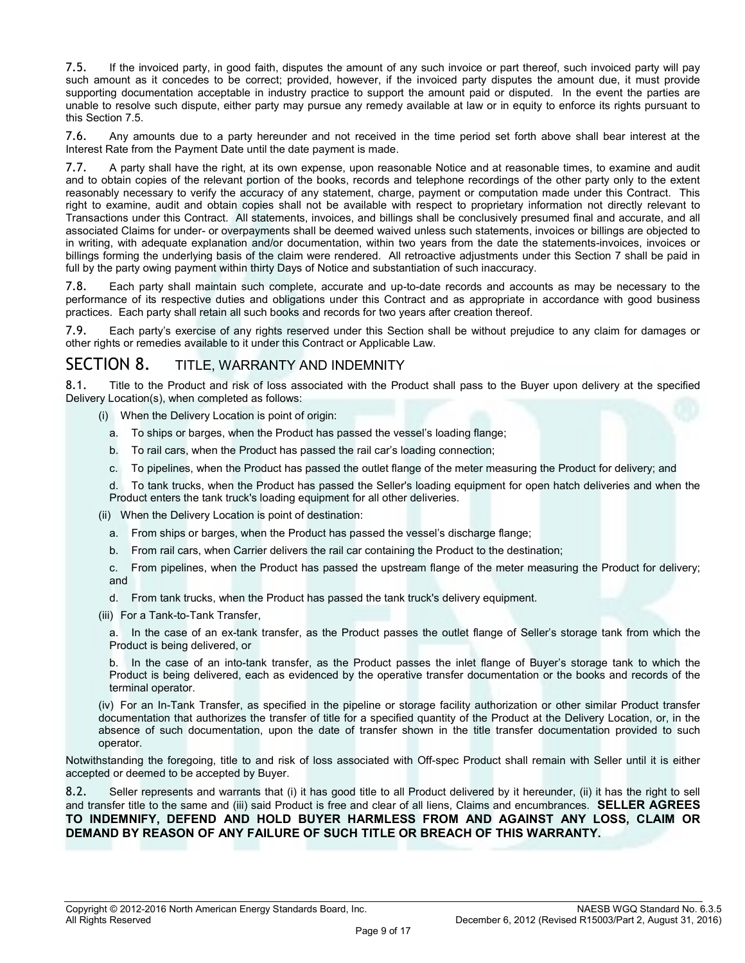7.5. If the invoiced party, in good faith, disputes the amount of any such invoice or part thereof, such invoiced party will pay such amount as it concedes to be correct; provided, however, if the invoiced party disputes the amount due, it must provide supporting documentation acceptable in industry practice to support the amount paid or disputed. In the event the parties are unable to resolve such dispute, either party may pursue any remedy available at law or in equity to enforce its rights pursuant to this Section 7.5.

7.6. Any amounts due to a party hereunder and not received in the time period set forth above shall bear interest at the Interest Rate from the Payment Date until the date payment is made.

7.7. A party shall have the right, at its own expense, upon reasonable Notice and at reasonable times, to examine and audit and to obtain copies of the relevant portion of the books, records and telephone recordings of the other party only to the extent reasonably necessary to verify the accuracy of any statement, charge, payment or computation made under this Contract. This right to examine, audit and obtain copies shall not be available with respect to proprietary information not directly relevant to Transactions under this Contract. All statements, invoices, and billings shall be conclusively presumed final and accurate, and all associated Claims for under- or overpayments shall be deemed waived unless such statements, invoices or billings are objected to in writing, with adequate explanation and/or documentation, within two years from the date the statements-invoices, invoices or billings forming the underlying basis of the claim were rendered. All retroactive adjustments under this Section 7 shall be paid in full by the party owing payment within thirty Days of Notice and substantiation of such inaccuracy.

7.8. Each party shall maintain such complete, accurate and up-to-date records and accounts as may be necessary to the performance of its respective duties and obligations under this Contract and as appropriate in accordance with good business practices. Each party shall retain all such books and records for two years after creation thereof.

7.9. Each party's exercise of any rights reserved under this Section shall be without prejudice to any claim for damages or other rights or remedies available to it under this Contract or Applicable Law.

## SECTION 8. TITLE, WARRANTY AND INDEMNITY

8.1. Title to the Product and risk of loss associated with the Product shall pass to the Buyer upon delivery at the specified Delivery Location(s), when completed as follows:

- (i) When the Delivery Location is point of origin:
	- a. To ships or barges, when the Product has passed the vessel's loading flange;
	- b. To rail cars, when the Product has passed the rail car's loading connection;
	- c. To pipelines, when the Product has passed the outlet flange of the meter measuring the Product for delivery; and

d. To tank trucks, when the Product has passed the Seller's loading equipment for open hatch deliveries and when the Product enters the tank truck's loading equipment for all other deliveries.

- (ii) When the Delivery Location is point of destination:
	- a. From ships or barges, when the Product has passed the vessel's discharge flange;
	- b. From rail cars, when Carrier delivers the rail car containing the Product to the destination;
	- c. From pipelines, when the Product has passed the upstream flange of the meter measuring the Product for delivery; and
	- d. From tank trucks, when the Product has passed the tank truck's delivery equipment.

(iii) For a Tank-to-Tank Transfer,

a. In the case of an ex-tank transfer, as the Product passes the outlet flange of Seller's storage tank from which the Product is being delivered, or

b. In the case of an into-tank transfer, as the Product passes the inlet flange of Buyer's storage tank to which the Product is being delivered, each as evidenced by the operative transfer documentation or the books and records of the terminal operator.

(iv) For an In-Tank Transfer, as specified in the pipeline or storage facility authorization or other similar Product transfer documentation that authorizes the transfer of title for a specified quantity of the Product at the Delivery Location, or, in the absence of such documentation, upon the date of transfer shown in the title transfer documentation provided to such operator.

Notwithstanding the foregoing, title to and risk of loss associated with Off-spec Product shall remain with Seller until it is either accepted or deemed to be accepted by Buyer.

8.2. Seller represents and warrants that (i) it has good title to all Product delivered by it hereunder, (ii) it has the right to sell and transfer title to the same and (iii) said Product is free and clear of all liens, Claims and encumbrances. **SELLER AGREES** TO INDEMNIFY, DEFEND AND HOLD BUYER HARMLESS FROM AND AGAINST ANY LOSS, CLAIM OR DEMAND BY REASON OF ANY FAILURE OF SUCH TITLE OR BREACH OF THIS WARRANTY.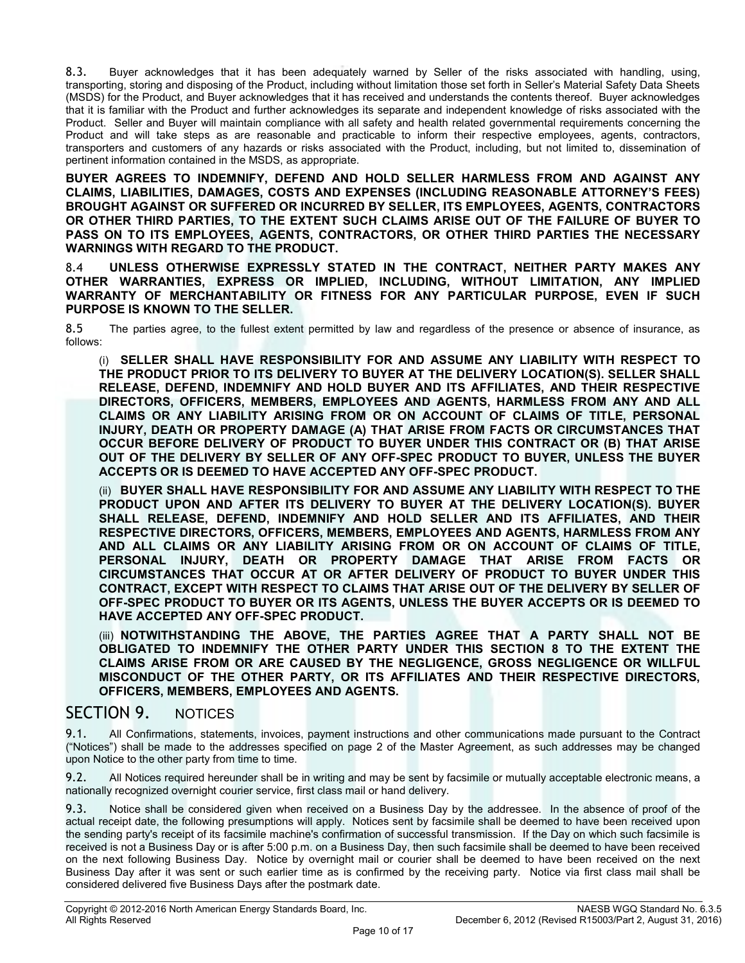8.3. Buyer acknowledges that it has been adequately warned by Seller of the risks associated with handling, using, transporting, storing and disposing of the Product, including without limitation those set forth in Seller's Material Safety Data Sheets (MSDS) for the Product, and Buyer acknowledges that it has received and understands the contents thereof. Buyer acknowledges that it is familiar with the Product and further acknowledges its separate and independent knowledge of risks associated with the Product. Seller and Buyer will maintain compliance with all safety and health related governmental requirements concerning the Product and will take steps as are reasonable and practicable to inform their respective employees, agents, contractors, transporters and customers of any hazards or risks associated with the Product, including, but not limited to, dissemination of pertinent information contained in the MSDS, as appropriate.

BUYER AGREES TO INDEMNIFY, DEFEND AND HOLD SELLER HARMLESS FROM AND AGAINST ANY CLAIMS, LIABILITIES, DAMAGES, COSTS AND EXPENSES (INCLUDING REASONABLE ATTORNEY'S FEES) BROUGHT AGAINST OR SUFFERED OR INCURRED BY SELLER, ITS EMPLOYEES, AGENTS, CONTRACTORS OR OTHER THIRD PARTIES, TO THE EXTENT SUCH CLAIMS ARISE OUT OF THE FAILURE OF BUYER TO PASS ON TO ITS EMPLOYEES, AGENTS, CONTRACTORS, OR OTHER THIRD PARTIES THE NECESSARY WARNINGS WITH REGARD TO THE PRODUCT.

8.4 UNLESS OTHERWISE EXPRESSLY STATED IN THE CONTRACT, NEITHER PARTY MAKES ANY OTHER WARRANTIES, EXPRESS OR IMPLIED, INCLUDING, WITHOUT LIMITATION, ANY IMPLIED WARRANTY OF MERCHANTABILITY OR FITNESS FOR ANY PARTICULAR PURPOSE, EVEN IF SUCH PURPOSE IS KNOWN TO THE SELLER.

8.5 The parties agree, to the fullest extent permitted by law and regardless of the presence or absence of insurance, as follows:

(i) SELLER SHALL HAVE RESPONSIBILITY FOR AND ASSUME ANY LIABILITY WITH RESPECT TO THE PRODUCT PRIOR TO ITS DELIVERY TO BUYER AT THE DELIVERY LOCATION(S). SELLER SHALL RELEASE, DEFEND, INDEMNIFY AND HOLD BUYER AND ITS AFFILIATES, AND THEIR RESPECTIVE DIRECTORS, OFFICERS, MEMBERS, EMPLOYEES AND AGENTS, HARMLESS FROM ANY AND ALL CLAIMS OR ANY LIABILITY ARISING FROM OR ON ACCOUNT OF CLAIMS OF TITLE, PERSONAL INJURY, DEATH OR PROPERTY DAMAGE (A) THAT ARISE FROM FACTS OR CIRCUMSTANCES THAT OCCUR BEFORE DELIVERY OF PRODUCT TO BUYER UNDER THIS CONTRACT OR (B) THAT ARISE OUT OF THE DELIVERY BY SELLER OF ANY OFF-SPEC PRODUCT TO BUYER, UNLESS THE BUYER ACCEPTS OR IS DEEMED TO HAVE ACCEPTED ANY OFF-SPEC PRODUCT.

(ii) BUYER SHALL HAVE RESPONSIBILITY FOR AND ASSUME ANY LIABILITY WITH RESPECT TO THE PRODUCT UPON AND AFTER ITS DELIVERY TO BUYER AT THE DELIVERY LOCATION(S). BUYER SHALL RELEASE, DEFEND, INDEMNIFY AND HOLD SELLER AND ITS AFFILIATES, AND THEIR RESPECTIVE DIRECTORS, OFFICERS, MEMBERS, EMPLOYEES AND AGENTS, HARMLESS FROM ANY AND ALL CLAIMS OR ANY LIABILITY ARISING FROM OR ON ACCOUNT OF CLAIMS OF TITLE, PERSONAL INJURY, DEATH OR PROPERTY DAMAGE THAT ARISE FROM FACTS OR CIRCUMSTANCES THAT OCCUR AT OR AFTER DELIVERY OF PRODUCT TO BUYER UNDER THIS CONTRACT, EXCEPT WITH RESPECT TO CLAIMS THAT ARISE OUT OF THE DELIVERY BY SELLER OF OFF-SPEC PRODUCT TO BUYER OR ITS AGENTS, UNLESS THE BUYER ACCEPTS OR IS DEEMED TO HAVE ACCEPTED ANY OFF-SPEC PRODUCT.

(iii) NOTWITHSTANDING THE ABOVE, THE PARTIES AGREE THAT A PARTY SHALL NOT BE OBLIGATED TO INDEMNIFY THE OTHER PARTY UNDER THIS SECTION 8 TO THE EXTENT THE CLAIMS ARISE FROM OR ARE CAUSED BY THE NEGLIGENCE, GROSS NEGLIGENCE OR WILLFUL MISCONDUCT OF THE OTHER PARTY, OR ITS AFFILIATES AND THEIR RESPECTIVE DIRECTORS, OFFICERS, MEMBERS, EMPLOYEES AND AGENTS.

### SECTION 9. NOTICES

9.1. All Confirmations, statements, invoices, payment instructions and other communications made pursuant to the Contract ("Notices") shall be made to the addresses specified on page 2 of the Master Agreement, as such addresses may be changed upon Notice to the other party from time to time.

9.2. All Notices required hereunder shall be in writing and may be sent by facsimile or mutually acceptable electronic means, a nationally recognized overnight courier service, first class mail or hand delivery.

9.3. Notice shall be considered given when received on a Business Day by the addressee. In the absence of proof of the actual receipt date, the following presumptions will apply. Notices sent by facsimile shall be deemed to have been received upon the sending party's receipt of its facsimile machine's confirmation of successful transmission. If the Day on which such facsimile is received is not a Business Day or is after 5:00 p.m. on a Business Day, then such facsimile shall be deemed to have been received on the next following Business Day. Notice by overnight mail or courier shall be deemed to have been received on the next Business Day after it was sent or such earlier time as is confirmed by the receiving party. Notice via first class mail shall be considered delivered five Business Days after the postmark date.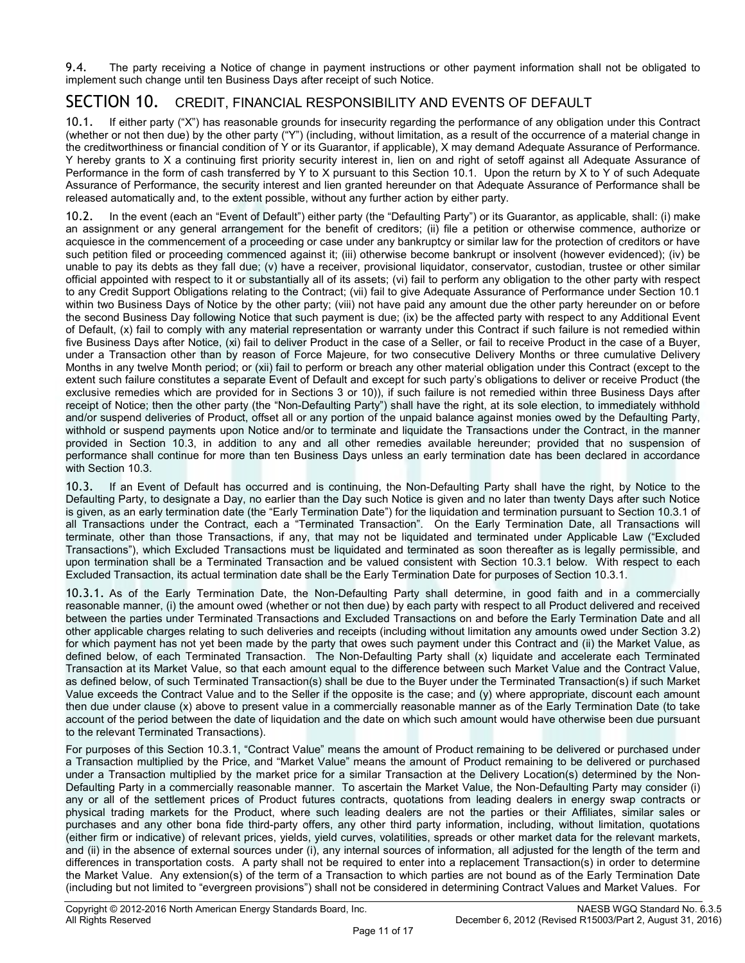9.4. The party receiving a Notice of change in payment instructions or other payment information shall not be obligated to implement such change until ten Business Days after receipt of such Notice.

## SECTION 10. CREDIT, FINANCIAL RESPONSIBILITY AND EVENTS OF DEFAULT

10.1. If either party ("X") has reasonable grounds for insecurity regarding the performance of any obligation under this Contract (whether or not then due) by the other party ("Y") (including, without limitation, as a result of the occurrence of a material change in the creditworthiness or financial condition of Y or its Guarantor, if applicable), X may demand Adequate Assurance of Performance. Y hereby grants to X a continuing first priority security interest in, lien on and right of setoff against all Adequate Assurance of Performance in the form of cash transferred by Y to X pursuant to this Section 10.1. Upon the return by X to Y of such Adequate Assurance of Performance, the security interest and lien granted hereunder on that Adequate Assurance of Performance shall be released automatically and, to the extent possible, without any further action by either party.

10.2. In the event (each an "Event of Default") either party (the "Defaulting Party") or its Guarantor, as applicable, shall: (i) make an assignment or any general arrangement for the benefit of creditors; (ii) file a petition or otherwise commence, authorize or acquiesce in the commencement of a proceeding or case under any bankruptcy or similar law for the protection of creditors or have such petition filed or proceeding commenced against it; (iii) otherwise become bankrupt or insolvent (however evidenced); (iv) be unable to pay its debts as they fall due; (v) have a receiver, provisional liquidator, conservator, custodian, trustee or other similar official appointed with respect to it or substantially all of its assets; (vi) fail to perform any obligation to the other party with respect to any Credit Support Obligations relating to the Contract; (vii) fail to give Adequate Assurance of Performance under Section 10.1 within two Business Days of Notice by the other party; (viii) not have paid any amount due the other party hereunder on or before the second Business Day following Notice that such payment is due; (ix) be the affected party with respect to any Additional Event of Default, (x) fail to comply with any material representation or warranty under this Contract if such failure is not remedied within five Business Days after Notice, (xi) fail to deliver Product in the case of a Seller, or fail to receive Product in the case of a Buyer, under a Transaction other than by reason of Force Majeure, for two consecutive Delivery Months or three cumulative Delivery Months in any twelve Month period; or (xii) fail to perform or breach any other material obligation under this Contract (except to the extent such failure constitutes a separate Event of Default and except for such party's obligations to deliver or receive Product (the exclusive remedies which are provided for in Sections 3 or 10)), if such failure is not remedied within three Business Days after receipt of Notice; then the other party (the "Non-Defaulting Party") shall have the right, at its sole election, to immediately withhold and/or suspend deliveries of Product, offset all or any portion of the unpaid balance against monies owed by the Defaulting Party, withhold or suspend payments upon Notice and/or to terminate and liquidate the Transactions under the Contract, in the manner provided in Section 10.3, in addition to any and all other remedies available hereunder; provided that no suspension of performance shall continue for more than ten Business Days unless an early termination date has been declared in accordance with Section 10.3.

10.3. If an Event of Default has occurred and is continuing, the Non-Defaulting Party shall have the right, by Notice to the Defaulting Party, to designate a Day, no earlier than the Day such Notice is given and no later than twenty Days after such Notice is given, as an early termination date (the "Early Termination Date") for the liquidation and termination pursuant to Section 10.3.1 of all Transactions under the Contract, each a "Terminated Transaction". On the Early Termination Date, all Transactions will terminate, other than those Transactions, if any, that may not be liquidated and terminated under Applicable Law ("Excluded Transactions"), which Excluded Transactions must be liquidated and terminated as soon thereafter as is legally permissible, and upon termination shall be a Terminated Transaction and be valued consistent with Section 10.3.1 below. With respect to each Excluded Transaction, its actual termination date shall be the Early Termination Date for purposes of Section 10.3.1.

10.3.1. As of the Early Termination Date, the Non-Defaulting Party shall determine, in good faith and in a commercially reasonable manner, (i) the amount owed (whether or not then due) by each party with respect to all Product delivered and received between the parties under Terminated Transactions and Excluded Transactions on and before the Early Termination Date and all other applicable charges relating to such deliveries and receipts (including without limitation any amounts owed under Section 3.2) for which payment has not yet been made by the party that owes such payment under this Contract and (ii) the Market Value, as defined below, of each Terminated Transaction. The Non-Defaulting Party shall (x) liquidate and accelerate each Terminated Transaction at its Market Value, so that each amount equal to the difference between such Market Value and the Contract Value, as defined below, of such Terminated Transaction(s) shall be due to the Buyer under the Terminated Transaction(s) if such Market Value exceeds the Contract Value and to the Seller if the opposite is the case; and (y) where appropriate, discount each amount then due under clause (x) above to present value in a commercially reasonable manner as of the Early Termination Date (to take account of the period between the date of liquidation and the date on which such amount would have otherwise been due pursuant to the relevant Terminated Transactions).

For purposes of this Section 10.3.1, "Contract Value" means the amount of Product remaining to be delivered or purchased under a Transaction multiplied by the Price, and "Market Value" means the amount of Product remaining to be delivered or purchased under a Transaction multiplied by the market price for a similar Transaction at the Delivery Location(s) determined by the Non-Defaulting Party in a commercially reasonable manner. To ascertain the Market Value, the Non-Defaulting Party may consider (i) any or all of the settlement prices of Product futures contracts, quotations from leading dealers in energy swap contracts or physical trading markets for the Product, where such leading dealers are not the parties or their Affiliates, similar sales or purchases and any other bona fide third-party offers, any other third party information, including, without limitation, quotations (either firm or indicative) of relevant prices, yields, yield curves, volatilities, spreads or other market data for the relevant markets, and (ii) in the absence of external sources under (i), any internal sources of information, all adjusted for the length of the term and differences in transportation costs. A party shall not be required to enter into a replacement Transaction(s) in order to determine the Market Value. Any extension(s) of the term of a Transaction to which parties are not bound as of the Early Termination Date (including but not limited to "evergreen provisions") shall not be considered in determining Contract Values and Market Values. For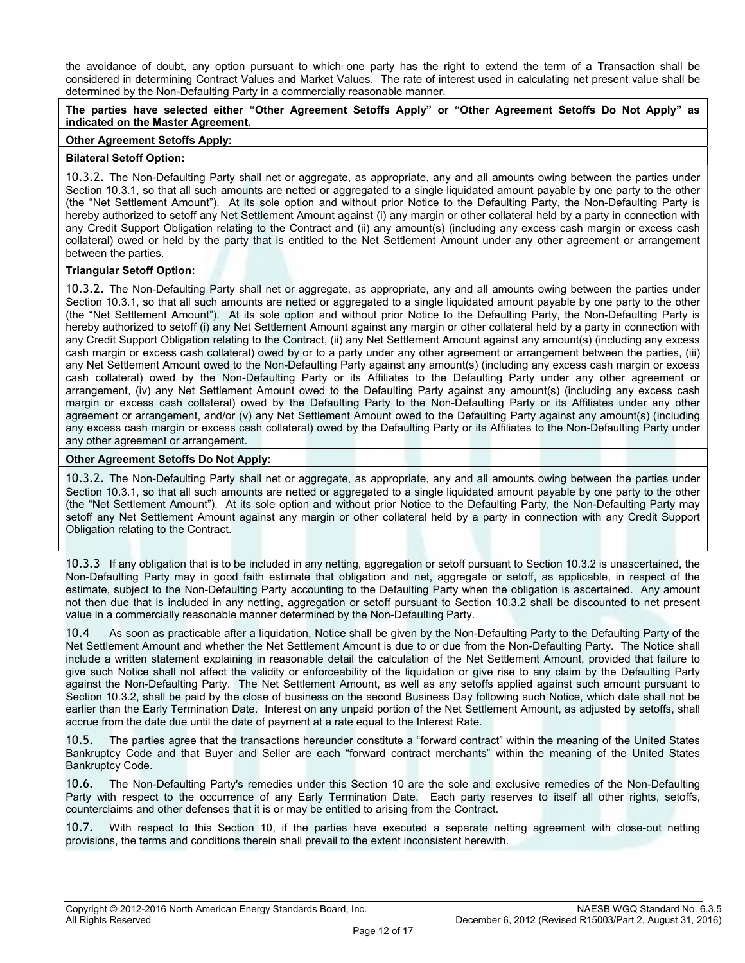the avoidance of doubt, any option pursuant to which one party has the right to extend the term of a Transaction shall be considered in determining Contract Values and Market Values. The rate of interest used in calculating net present value shall be determined by the Non-Defaulting Party in a commercially reasonable manner.

#### The parties have selected either "Other Agreement Setoffs Apply" or "Other Agreement Setoffs Do Not Apply" as indicated on the Master Agreement.

### Other Agreement Setoffs Apply:

### Bilateral Setoff Option:

10.3.2. The Non-Defaulting Party shall net or aggregate, as appropriate, any and all amounts owing between the parties under Section 10.3.1, so that all such amounts are netted or aggregated to a single liquidated amount payable by one party to the other (the "Net Settlement Amount"). At its sole option and without prior Notice to the Defaulting Party, the Non-Defaulting Party is hereby authorized to setoff any Net Settlement Amount against (i) any margin or other collateral held by a party in connection with any Credit Support Obligation relating to the Contract and (ii) any amount(s) (including any excess cash margin or excess cash collateral) owed or held by the party that is entitled to the Net Settlement Amount under any other agreement or arrangement between the parties.

### Triangular Setoff Option:

10.3.2. The Non-Defaulting Party shall net or aggregate, as appropriate, any and all amounts owing between the parties under Section 10.3.1, so that all such amounts are netted or aggregated to a single liquidated amount payable by one party to the other (the "Net Settlement Amount"). At its sole option and without prior Notice to the Defaulting Party, the Non-Defaulting Party is hereby authorized to setoff (i) any Net Settlement Amount against any margin or other collateral held by a party in connection with any Credit Support Obligation relating to the Contract, (ii) any Net Settlement Amount against any amount(s) (including any excess cash margin or excess cash collateral) owed by or to a party under any other agreement or arrangement between the parties, (iii) any Net Settlement Amount owed to the Non-Defaulting Party against any amount(s) (including any excess cash margin or excess cash collateral) owed by the Non-Defaulting Party or its Affiliates to the Defaulting Party under any other agreement or arrangement, (iv) any Net Settlement Amount owed to the Defaulting Party against any amount(s) (including any excess cash margin or excess cash collateral) owed by the Defaulting Party to the Non-Defaulting Party or its Affiliates under any other agreement or arrangement, and/or (v) any Net Settlement Amount owed to the Defaulting Party against any amount(s) (including any excess cash margin or excess cash collateral) owed by the Defaulting Party or its Affiliates to the Non-Defaulting Party under any other agreement or arrangement.

### Other Agreement Setoffs Do Not Apply:

10.3.2. The Non-Defaulting Party shall net or aggregate, as appropriate, any and all amounts owing between the parties under Section 10.3.1, so that all such amounts are netted or aggregated to a single liquidated amount payable by one party to the other (the "Net Settlement Amount"). At its sole option and without prior Notice to the Defaulting Party, the Non-Defaulting Party may setoff any Net Settlement Amount against any margin or other collateral held by a party in connection with any Credit Support Obligation relating to the Contract.

10.3.3 If any obligation that is to be included in any netting, aggregation or setoff pursuant to Section 10.3.2 is unascertained, the Non-Defaulting Party may in good faith estimate that obligation and net, aggregate or setoff, as applicable, in respect of the estimate, subject to the Non-Defaulting Party accounting to the Defaulting Party when the obligation is ascertained. Any amount not then due that is included in any netting, aggregation or setoff pursuant to Section 10.3.2 shall be discounted to net present value in a commercially reasonable manner determined by the Non-Defaulting Party.

10.4 As soon as practicable after a liquidation, Notice shall be given by the Non-Defaulting Party to the Defaulting Party of the Net Settlement Amount and whether the Net Settlement Amount is due to or due from the Non-Defaulting Party. The Notice shall include a written statement explaining in reasonable detail the calculation of the Net Settlement Amount, provided that failure to give such Notice shall not affect the validity or enforceability of the liquidation or give rise to any claim by the Defaulting Party against the Non-Defaulting Party. The Net Settlement Amount, as well as any setoffs applied against such amount pursuant to Section 10.3.2, shall be paid by the close of business on the second Business Day following such Notice, which date shall not be earlier than the Early Termination Date. Interest on any unpaid portion of the Net Settlement Amount, as adjusted by setoffs, shall accrue from the date due until the date of payment at a rate equal to the Interest Rate.

10.5. The parties agree that the transactions hereunder constitute a "forward contract" within the meaning of the United States Bankruptcy Code and that Buyer and Seller are each "forward contract merchants" within the meaning of the United States Bankruptcy Code.

10.6. The Non-Defaulting Party's remedies under this Section 10 are the sole and exclusive remedies of the Non-Defaulting Party with respect to the occurrence of any Early Termination Date. Each party reserves to itself all other rights, setoffs, counterclaims and other defenses that it is or may be entitled to arising from the Contract.

10.7. With respect to this Section 10, if the parties have executed a separate netting agreement with close-out netting provisions, the terms and conditions therein shall prevail to the extent inconsistent herewith.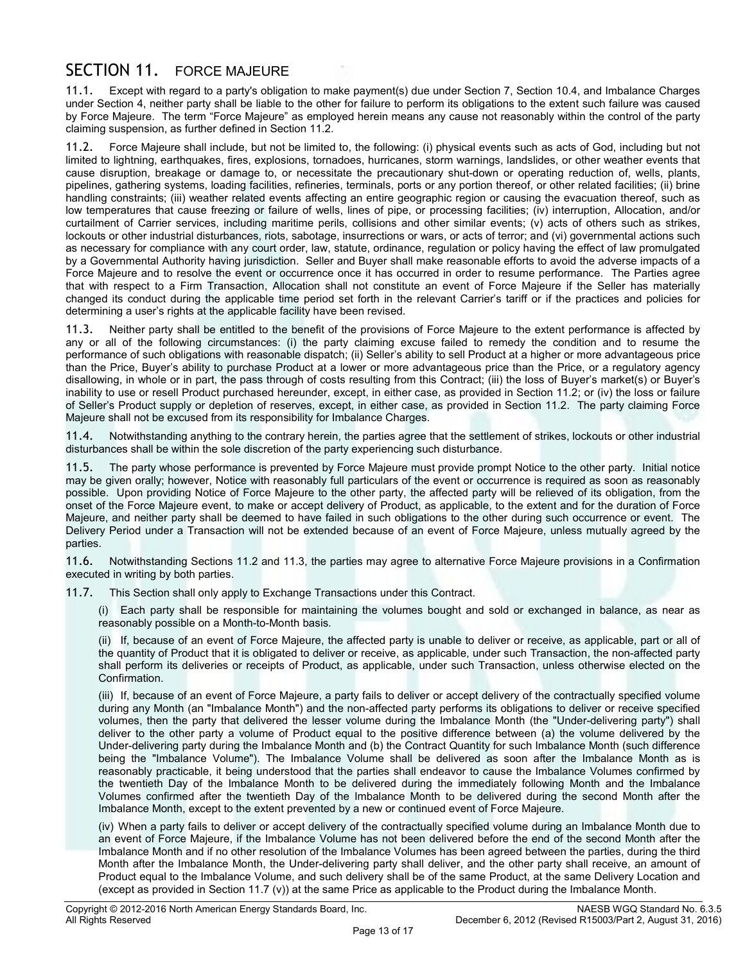## SECTION 11. FORCE MAJEURE

11.1. Except with regard to a party's obligation to make payment(s) due under Section 7, Section 10.4, and Imbalance Charges under Section 4, neither party shall be liable to the other for failure to perform its obligations to the extent such failure was caused by Force Majeure. The term "Force Majeure" as employed herein means any cause not reasonably within the control of the party claiming suspension, as further defined in Section 11.2.

11.2. Force Majeure shall include, but not be limited to, the following: (i) physical events such as acts of God, including but not limited to lightning, earthquakes, fires, explosions, tornadoes, hurricanes, storm warnings, landslides, or other weather events that cause disruption, breakage or damage to, or necessitate the precautionary shut-down or operating reduction of, wells, plants, pipelines, gathering systems, loading facilities, refineries, terminals, ports or any portion thereof, or other related facilities; (ii) brine handling constraints; (iii) weather related events affecting an entire geographic region or causing the evacuation thereof, such as low temperatures that cause freezing or failure of wells, lines of pipe, or processing facilities; (iv) interruption, Allocation, and/or curtailment of Carrier services, including maritime perils, collisions and other similar events; (v) acts of others such as strikes, lockouts or other industrial disturbances, riots, sabotage, insurrections or wars, or acts of terror; and (vi) governmental actions such as necessary for compliance with any court order, law, statute, ordinance, regulation or policy having the effect of law promulgated by a Governmental Authority having jurisdiction. Seller and Buyer shall make reasonable efforts to avoid the adverse impacts of a Force Majeure and to resolve the event or occurrence once it has occurred in order to resume performance. The Parties agree that with respect to a Firm Transaction, Allocation shall not constitute an event of Force Majeure if the Seller has materially changed its conduct during the applicable time period set forth in the relevant Carrier's tariff or if the practices and policies for determining a user's rights at the applicable facility have been revised.

11.3. Neither party shall be entitled to the benefit of the provisions of Force Majeure to the extent performance is affected by any or all of the following circumstances: (i) the party claiming excuse failed to remedy the condition and to resume the performance of such obligations with reasonable dispatch; (ii) Seller's ability to sell Product at a higher or more advantageous price than the Price, Buyer's ability to purchase Product at a lower or more advantageous price than the Price, or a regulatory agency disallowing, in whole or in part, the pass through of costs resulting from this Contract; (iii) the loss of Buyer's market(s) or Buyer's inability to use or resell Product purchased hereunder, except, in either case, as provided in Section 11.2; or (iv) the loss or failure of Seller's Product supply or depletion of reserves, except, in either case, as provided in Section 11.2. The party claiming Force Majeure shall not be excused from its responsibility for Imbalance Charges.

11.4. Notwithstanding anything to the contrary herein, the parties agree that the settlement of strikes, lockouts or other industrial disturbances shall be within the sole discretion of the party experiencing such disturbance.

11.5. The party whose performance is prevented by Force Majeure must provide prompt Notice to the other party. Initial notice may be given orally; however, Notice with reasonably full particulars of the event or occurrence is required as soon as reasonably possible. Upon providing Notice of Force Majeure to the other party, the affected party will be relieved of its obligation, from the onset of the Force Majeure event, to make or accept delivery of Product, as applicable, to the extent and for the duration of Force Majeure, and neither party shall be deemed to have failed in such obligations to the other during such occurrence or event. The Delivery Period under a Transaction will not be extended because of an event of Force Majeure, unless mutually agreed by the parties.

11.6. Notwithstanding Sections 11.2 and 11.3, the parties may agree to alternative Force Majeure provisions in a Confirmation executed in writing by both parties.

11.7. This Section shall only apply to Exchange Transactions under this Contract.

(i) Each party shall be responsible for maintaining the volumes bought and sold or exchanged in balance, as near as reasonably possible on a Month-to-Month basis.

(ii) If, because of an event of Force Majeure, the affected party is unable to deliver or receive, as applicable, part or all of the quantity of Product that it is obligated to deliver or receive, as applicable, under such Transaction, the non-affected party shall perform its deliveries or receipts of Product, as applicable, under such Transaction, unless otherwise elected on the Confirmation.

(iii) If, because of an event of Force Majeure, a party fails to deliver or accept delivery of the contractually specified volume during any Month (an "Imbalance Month") and the non-affected party performs its obligations to deliver or receive specified volumes, then the party that delivered the lesser volume during the Imbalance Month (the "Under-delivering party") shall deliver to the other party a volume of Product equal to the positive difference between (a) the volume delivered by the Under-delivering party during the Imbalance Month and (b) the Contract Quantity for such Imbalance Month (such difference being the "Imbalance Volume"). The Imbalance Volume shall be delivered as soon after the Imbalance Month as is reasonably practicable, it being understood that the parties shall endeavor to cause the Imbalance Volumes confirmed by the twentieth Day of the Imbalance Month to be delivered during the immediately following Month and the Imbalance Volumes confirmed after the twentieth Day of the Imbalance Month to be delivered during the second Month after the Imbalance Month, except to the extent prevented by a new or continued event of Force Majeure.

(iv) When a party fails to deliver or accept delivery of the contractually specified volume during an Imbalance Month due to an event of Force Majeure, if the Imbalance Volume has not been delivered before the end of the second Month after the Imbalance Month and if no other resolution of the Imbalance Volumes has been agreed between the parties, during the third Month after the Imbalance Month, the Under-delivering party shall deliver, and the other party shall receive, an amount of Product equal to the Imbalance Volume, and such delivery shall be of the same Product, at the same Delivery Location and (except as provided in Section 11.7 (v)) at the same Price as applicable to the Product during the Imbalance Month.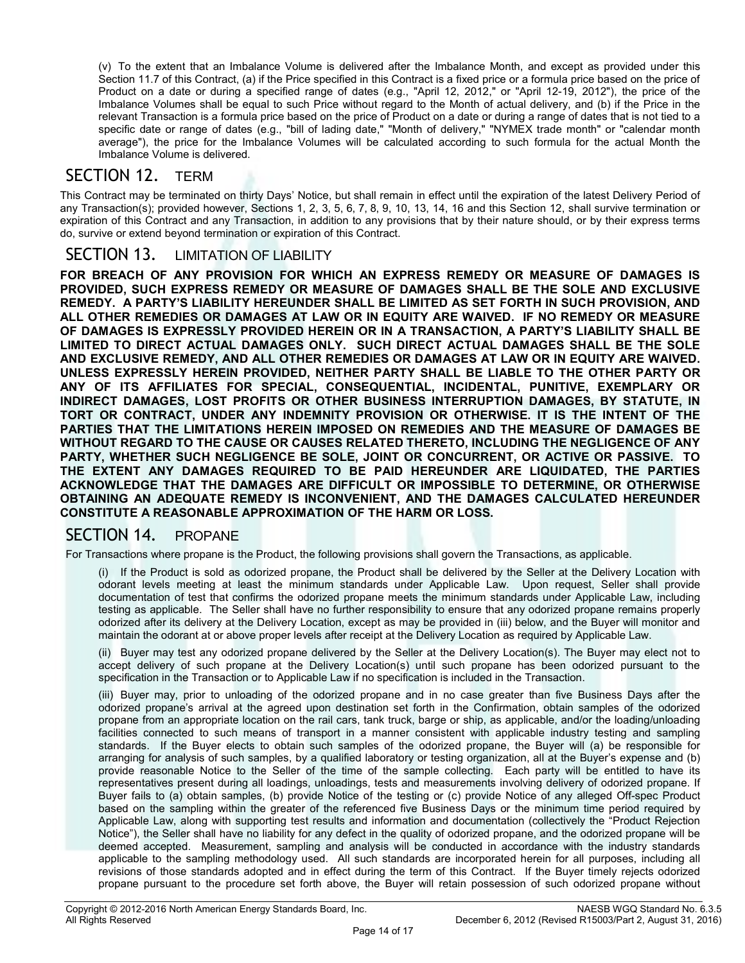(v) To the extent that an Imbalance Volume is delivered after the Imbalance Month, and except as provided under this Section 11.7 of this Contract, (a) if the Price specified in this Contract is a fixed price or a formula price based on the price of Product on a date or during a specified range of dates (e.g., "April 12, 2012," or "April 12-19, 2012"), the price of the Imbalance Volumes shall be equal to such Price without regard to the Month of actual delivery, and (b) if the Price in the relevant Transaction is a formula price based on the price of Product on a date or during a range of dates that is not tied to a specific date or range of dates (e.g., "bill of lading date," "Month of delivery," "NYMEX trade month" or "calendar month average"), the price for the Imbalance Volumes will be calculated according to such formula for the actual Month the Imbalance Volume is delivered.

# SECTION 12. TERM

This Contract may be terminated on thirty Days' Notice, but shall remain in effect until the expiration of the latest Delivery Period of any Transaction(s); provided however, Sections 1, 2, 3, 5, 6, 7, 8, 9, 10, 13, 14, 16 and this Section 12, shall survive termination or expiration of this Contract and any Transaction, in addition to any provisions that by their nature should, or by their express terms do, survive or extend beyond termination or expiration of this Contract.

## SECTION 13. LIMITATION OF LIABILITY

FOR BREACH OF ANY PROVISION FOR WHICH AN EXPRESS REMEDY OR MEASURE OF DAMAGES IS PROVIDED, SUCH EXPRESS REMEDY OR MEASURE OF DAMAGES SHALL BE THE SOLE AND EXCLUSIVE REMEDY. A PARTY'S LIABILITY HEREUNDER SHALL BE LIMITED AS SET FORTH IN SUCH PROVISION, AND ALL OTHER REMEDIES OR DAMAGES AT LAW OR IN EQUITY ARE WAIVED. IF NO REMEDY OR MEASURE OF DAMAGES IS EXPRESSLY PROVIDED HEREIN OR IN A TRANSACTION, A PARTY'S LIABILITY SHALL BE LIMITED TO DIRECT ACTUAL DAMAGES ONLY. SUCH DIRECT ACTUAL DAMAGES SHALL BE THE SOLE AND EXCLUSIVE REMEDY, AND ALL OTHER REMEDIES OR DAMAGES AT LAW OR IN EQUITY ARE WAIVED. UNLESS EXPRESSLY HEREIN PROVIDED, NEITHER PARTY SHALL BE LIABLE TO THE OTHER PARTY OR ANY OF ITS AFFILIATES FOR SPECIAL, CONSEQUENTIAL, INCIDENTAL, PUNITIVE, EXEMPLARY OR INDIRECT DAMAGES, LOST PROFITS OR OTHER BUSINESS INTERRUPTION DAMAGES, BY STATUTE, IN TORT OR CONTRACT, UNDER ANY INDEMNITY PROVISION OR OTHERWISE. IT IS THE INTENT OF THE PARTIES THAT THE LIMITATIONS HEREIN IMPOSED ON REMEDIES AND THE MEASURE OF DAMAGES BE WITHOUT REGARD TO THE CAUSE OR CAUSES RELATED THERETO, INCLUDING THE NEGLIGENCE OF ANY PARTY, WHETHER SUCH NEGLIGENCE BE SOLE, JOINT OR CONCURRENT, OR ACTIVE OR PASSIVE. TO THE EXTENT ANY DAMAGES REQUIRED TO BE PAID HEREUNDER ARE LIQUIDATED, THE PARTIES ACKNOWLEDGE THAT THE DAMAGES ARE DIFFICULT OR IMPOSSIBLE TO DETERMINE, OR OTHERWISE OBTAINING AN ADEQUATE REMEDY IS INCONVENIENT, AND THE DAMAGES CALCULATED HEREUNDER CONSTITUTE A REASONABLE APPROXIMATION OF THE HARM OR LOSS.

## SECTION 14. PROPANE

For Transactions where propane is the Product, the following provisions shall govern the Transactions, as applicable.

(i) If the Product is sold as odorized propane, the Product shall be delivered by the Seller at the Delivery Location with odorant levels meeting at least the minimum standards under Applicable Law. Upon request, Seller shall provide documentation of test that confirms the odorized propane meets the minimum standards under Applicable Law, including testing as applicable. The Seller shall have no further responsibility to ensure that any odorized propane remains properly odorized after its delivery at the Delivery Location, except as may be provided in (iii) below, and the Buyer will monitor and maintain the odorant at or above proper levels after receipt at the Delivery Location as required by Applicable Law.

(ii) Buyer may test any odorized propane delivered by the Seller at the Delivery Location(s). The Buyer may elect not to accept delivery of such propane at the Delivery Location(s) until such propane has been odorized pursuant to the specification in the Transaction or to Applicable Law if no specification is included in the Transaction.

(iii) Buyer may, prior to unloading of the odorized propane and in no case greater than five Business Days after the odorized propane's arrival at the agreed upon destination set forth in the Confirmation, obtain samples of the odorized propane from an appropriate location on the rail cars, tank truck, barge or ship, as applicable, and/or the loading/unloading facilities connected to such means of transport in a manner consistent with applicable industry testing and sampling standards. If the Buyer elects to obtain such samples of the odorized propane, the Buyer will (a) be responsible for arranging for analysis of such samples, by a qualified laboratory or testing organization, all at the Buyer's expense and (b) provide reasonable Notice to the Seller of the time of the sample collecting. Each party will be entitled to have its representatives present during all loadings, unloadings, tests and measurements involving delivery of odorized propane. If Buyer fails to (a) obtain samples, (b) provide Notice of the testing or (c) provide Notice of any alleged Off-spec Product based on the sampling within the greater of the referenced five Business Days or the minimum time period required by Applicable Law, along with supporting test results and information and documentation (collectively the "Product Rejection Notice"), the Seller shall have no liability for any defect in the quality of odorized propane, and the odorized propane will be deemed accepted. Measurement, sampling and analysis will be conducted in accordance with the industry standards applicable to the sampling methodology used. All such standards are incorporated herein for all purposes, including all revisions of those standards adopted and in effect during the term of this Contract. If the Buyer timely rejects odorized propane pursuant to the procedure set forth above, the Buyer will retain possession of such odorized propane without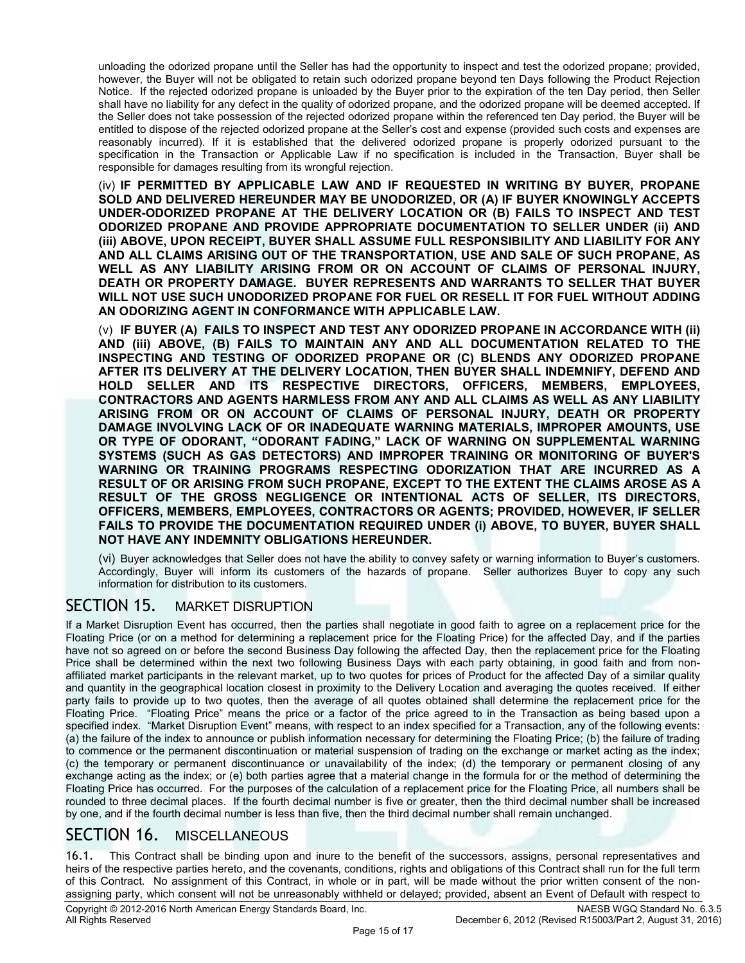unloading the odorized propane until the Seller has had the opportunity to inspect and test the odorized propane; provided, however, the Buyer will not be obligated to retain such odorized propane beyond ten Days following the Product Rejection Notice. If the rejected odorized propane is unloaded by the Buyer prior to the expiration of the ten Day period, then Seller shall have no liability for any defect in the quality of odorized propane, and the odorized propane will be deemed accepted. If the Seller does not take possession of the rejected odorized propane within the referenced ten Day period, the Buyer will be entitled to dispose of the rejected odorized propane at the Seller's cost and expense (provided such costs and expenses are reasonably incurred). If it is established that the delivered odorized propane is properly odorized pursuant to the specification in the Transaction or Applicable Law if no specification is included in the Transaction, Buyer shall be responsible for damages resulting from its wrongful rejection.

(iv) IF PERMITTED BY APPLICABLE LAW AND IF REQUESTED IN WRITING BY BUYER, PROPANE SOLD AND DELIVERED HEREUNDER MAY BE UNODORIZED, OR (A) IF BUYER KNOWINGLY ACCEPTS UNDER-ODORIZED PROPANE AT THE DELIVERY LOCATION OR (B) FAILS TO INSPECT AND TEST ODORIZED PROPANE AND PROVIDE APPROPRIATE DOCUMENTATION TO SELLER UNDER (ii) AND (iii) ABOVE, UPON RECEIPT, BUYER SHALL ASSUME FULL RESPONSIBILITY AND LIABILITY FOR ANY AND ALL CLAIMS ARISING OUT OF THE TRANSPORTATION, USE AND SALE OF SUCH PROPANE, AS WELL AS ANY LIABILITY ARISING FROM OR ON ACCOUNT OF CLAIMS OF PERSONAL INJURY, DEATH OR PROPERTY DAMAGE. BUYER REPRESENTS AND WARRANTS TO SELLER THAT BUYER WILL NOT USE SUCH UNODORIZED PROPANE FOR FUEL OR RESELL IT FOR FUEL WITHOUT ADDING AN ODORIZING AGENT IN CONFORMANCE WITH APPLICABLE LAW.

(v) IF BUYER (A) FAILS TO INSPECT AND TEST ANY ODORIZED PROPANE IN ACCORDANCE WITH (ii) AND (iii) ABOVE, (B) FAILS TO MAINTAIN ANY AND ALL DOCUMENTATION RELATED TO THE INSPECTING AND TESTING OF ODORIZED PROPANE OR (C) BLENDS ANY ODORIZED PROPANE AFTER ITS DELIVERY AT THE DELIVERY LOCATION, THEN BUYER SHALL INDEMNIFY, DEFEND AND HOLD SELLER AND ITS RESPECTIVE DIRECTORS, OFFICERS, MEMBERS, EMPLOYEES, CONTRACTORS AND AGENTS HARMLESS FROM ANY AND ALL CLAIMS AS WELL AS ANY LIABILITY ARISING FROM OR ON ACCOUNT OF CLAIMS OF PERSONAL INJURY, DEATH OR PROPERTY DAMAGE INVOLVING LACK OF OR INADEQUATE WARNING MATERIALS, IMPROPER AMOUNTS, USE OR TYPE OF ODORANT, "ODORANT FADING," LACK OF WARNING ON SUPPLEMENTAL WARNING SYSTEMS (SUCH AS GAS DETECTORS) AND IMPROPER TRAINING OR MONITORING OF BUYER'S WARNING OR TRAINING PROGRAMS RESPECTING ODORIZATION THAT ARE INCURRED AS A RESULT OF OR ARISING FROM SUCH PROPANE, EXCEPT TO THE EXTENT THE CLAIMS AROSE AS A RESULT OF THE GROSS NEGLIGENCE OR INTENTIONAL ACTS OF SELLER, ITS DIRECTORS, OFFICERS, MEMBERS, EMPLOYEES, CONTRACTORS OR AGENTS; PROVIDED, HOWEVER, IF SELLER FAILS TO PROVIDE THE DOCUMENTATION REQUIRED UNDER (i) ABOVE, TO BUYER, BUYER SHALL NOT HAVE ANY INDEMNITY OBLIGATIONS HEREUNDER.

(vi) Buyer acknowledges that Seller does not have the ability to convey safety or warning information to Buyer's customers. Accordingly, Buyer will inform its customers of the hazards of propane. Seller authorizes Buyer to copy any such information for distribution to its customers.

## SECTION 15. MARKET DISRUPTION

If a Market Disruption Event has occurred, then the parties shall negotiate in good faith to agree on a replacement price for the Floating Price (or on a method for determining a replacement price for the Floating Price) for the affected Day, and if the parties have not so agreed on or before the second Business Day following the affected Day, then the replacement price for the Floating Price shall be determined within the next two following Business Days with each party obtaining, in good faith and from nonaffiliated market participants in the relevant market, up to two quotes for prices of Product for the affected Day of a similar quality and quantity in the geographical location closest in proximity to the Delivery Location and averaging the quotes received. If either party fails to provide up to two quotes, then the average of all quotes obtained shall determine the replacement price for the Floating Price. "Floating Price" means the price or a factor of the price agreed to in the Transaction as being based upon a specified index. "Market Disruption Event" means, with respect to an index specified for a Transaction, any of the following events: (a) the failure of the index to announce or publish information necessary for determining the Floating Price; (b) the failure of trading to commence or the permanent discontinuation or material suspension of trading on the exchange or market acting as the index; (c) the temporary or permanent discontinuance or unavailability of the index; (d) the temporary or permanent closing of any exchange acting as the index; or (e) both parties agree that a material change in the formula for or the method of determining the Floating Price has occurred. For the purposes of the calculation of a replacement price for the Floating Price, all numbers shall be rounded to three decimal places. If the fourth decimal number is five or greater, then the third decimal number shall be increased by one, and if the fourth decimal number is less than five, then the third decimal number shall remain unchanged.

## SECTION 16. MISCELLANEOUS

16.1. This Contract shall be binding upon and inure to the benefit of the successors, assigns, personal representatives and heirs of the respective parties hereto, and the covenants, conditions, rights and obligations of this Contract shall run for the full term of this Contract. No assignment of this Contract, in whole or in part, will be made without the prior written consent of the nonassigning party, which consent will not be unreasonably withheld or delayed; provided, absent an Event of Default with respect to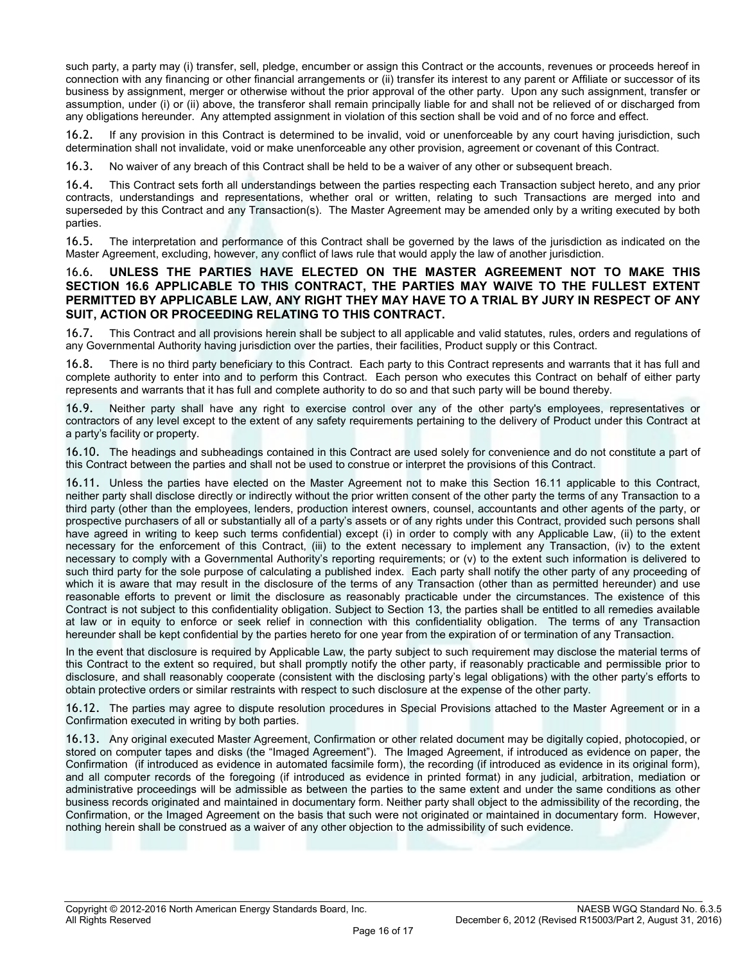such party, a party may (i) transfer, sell, pledge, encumber or assign this Contract or the accounts, revenues or proceeds hereof in connection with any financing or other financial arrangements or (ii) transfer its interest to any parent or Affiliate or successor of its business by assignment, merger or otherwise without the prior approval of the other party. Upon any such assignment, transfer or assumption, under (i) or (ii) above, the transferor shall remain principally liable for and shall not be relieved of or discharged from any obligations hereunder. Any attempted assignment in violation of this section shall be void and of no force and effect.

16.2. If any provision in this Contract is determined to be invalid, void or unenforceable by any court having jurisdiction, such determination shall not invalidate, void or make unenforceable any other provision, agreement or covenant of this Contract.

16.3. No waiver of any breach of this Contract shall be held to be a waiver of any other or subsequent breach.

16.4. This Contract sets forth all understandings between the parties respecting each Transaction subject hereto, and any prior contracts, understandings and representations, whether oral or written, relating to such Transactions are merged into and superseded by this Contract and any Transaction(s). The Master Agreement may be amended only by a writing executed by both parties.

16.5. The interpretation and performance of this Contract shall be governed by the laws of the jurisdiction as indicated on the Master Agreement, excluding, however, any conflict of laws rule that would apply the law of another jurisdiction.

### 16.6. UNLESS THE PARTIES HAVE ELECTED ON THE MASTER AGREEMENT NOT TO MAKE THIS SECTION 16.6 APPLICABLE TO THIS CONTRACT, THE PARTIES MAY WAIVE TO THE FULLEST EXTENT PERMITTED BY APPLICABLE LAW, ANY RIGHT THEY MAY HAVE TO A TRIAL BY JURY IN RESPECT OF ANY SUIT, ACTION OR PROCEEDING RELATING TO THIS CONTRACT.

16.7. This Contract and all provisions herein shall be subject to all applicable and valid statutes, rules, orders and regulations of any Governmental Authority having jurisdiction over the parties, their facilities, Product supply or this Contract.

16.8. There is no third party beneficiary to this Contract. Each party to this Contract represents and warrants that it has full and complete authority to enter into and to perform this Contract. Each person who executes this Contract on behalf of either party represents and warrants that it has full and complete authority to do so and that such party will be bound thereby.

16.9. Neither party shall have any right to exercise control over any of the other party's employees, representatives or contractors of any level except to the extent of any safety requirements pertaining to the delivery of Product under this Contract at a party's facility or property.

16.10. The headings and subheadings contained in this Contract are used solely for convenience and do not constitute a part of this Contract between the parties and shall not be used to construe or interpret the provisions of this Contract.

16.11. Unless the parties have elected on the Master Agreement not to make this Section 16.11 applicable to this Contract, neither party shall disclose directly or indirectly without the prior written consent of the other party the terms of any Transaction to a third party (other than the employees, lenders, production interest owners, counsel, accountants and other agents of the party, or prospective purchasers of all or substantially all of a party's assets or of any rights under this Contract, provided such persons shall have agreed in writing to keep such terms confidential) except (i) in order to comply with any Applicable Law, (ii) to the extent necessary for the enforcement of this Contract, (iii) to the extent necessary to implement any Transaction, (iv) to the extent necessary to comply with a Governmental Authority's reporting requirements; or (v) to the extent such information is delivered to such third party for the sole purpose of calculating a published index. Each party shall notify the other party of any proceeding of which it is aware that may result in the disclosure of the terms of any Transaction (other than as permitted hereunder) and use reasonable efforts to prevent or limit the disclosure as reasonably practicable under the circumstances. The existence of this Contract is not subject to this confidentiality obligation. Subject to Section 13, the parties shall be entitled to all remedies available at law or in equity to enforce or seek relief in connection with this confidentiality obligation. The terms of any Transaction hereunder shall be kept confidential by the parties hereto for one year from the expiration of or termination of any Transaction.

In the event that disclosure is required by Applicable Law, the party subject to such requirement may disclose the material terms of this Contract to the extent so required, but shall promptly notify the other party, if reasonably practicable and permissible prior to disclosure, and shall reasonably cooperate (consistent with the disclosing party's legal obligations) with the other party's efforts to obtain protective orders or similar restraints with respect to such disclosure at the expense of the other party.

16.12. The parties may agree to dispute resolution procedures in Special Provisions attached to the Master Agreement or in a Confirmation executed in writing by both parties.

16.13. Any original executed Master Agreement, Confirmation or other related document may be digitally copied, photocopied, or stored on computer tapes and disks (the "Imaged Agreement"). The Imaged Agreement, if introduced as evidence on paper, the Confirmation (if introduced as evidence in automated facsimile form), the recording (if introduced as evidence in its original form), and all computer records of the foregoing (if introduced as evidence in printed format) in any judicial, arbitration, mediation or administrative proceedings will be admissible as between the parties to the same extent and under the same conditions as other business records originated and maintained in documentary form. Neither party shall object to the admissibility of the recording, the Confirmation, or the Imaged Agreement on the basis that such were not originated or maintained in documentary form. However, nothing herein shall be construed as a waiver of any other objection to the admissibility of such evidence.